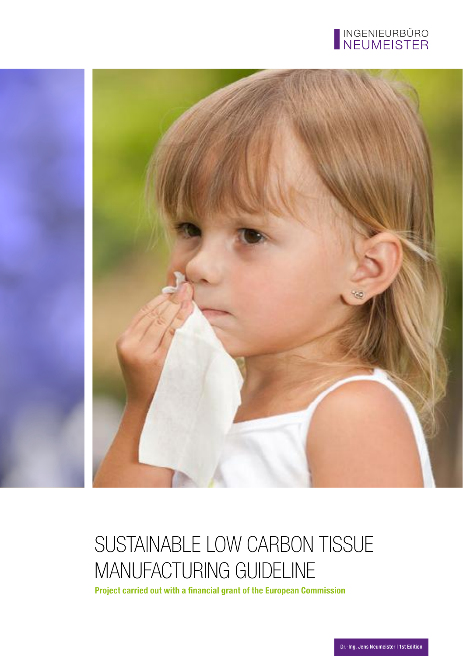



# SUSTAINABLE LOW CARBON TISSUE MANUFACTURING GUIDELINE

**Project carried out with a financial grant of the European Commission**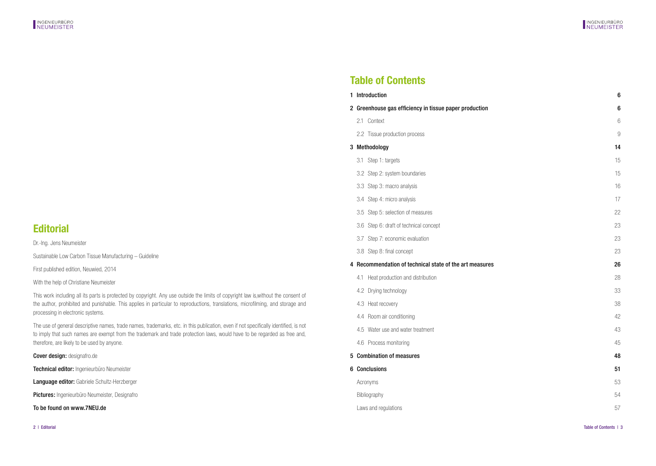## **Table of Contents**

| 1 Introduction                                          | 6              |
|---------------------------------------------------------|----------------|
| 2 Greenhouse gas efficiency in tissue paper production  | 6              |
| 2.1 Context                                             | 6              |
| 2.2 Tissue production process                           | $\overline{9}$ |
| 3 Methodology                                           | 14             |
| 3.1 Step 1: targets                                     | 15             |
| 3.2 Step 2: system boundaries                           | 15             |
| 3.3 Step 3: macro analysis                              | 16             |
| 3.4 Step 4: micro analysis                              | 17             |
| 3.5 Step 5: selection of measures                       | 22             |
| 3.6 Step 6: draft of technical concept                  | 23             |
| Step 7: economic evaluation<br>3.7                      | 23             |
| 3.8 Step 8: final concept                               | 23             |
| 4 Recommendation of technical state of the art measures | 26             |
| Heat production and distribution<br>4.1                 | 28             |
| 4.2 Drying technology                                   | 33             |
| 4.3 Heat recovery                                       | 38             |
| 4.4 Room air conditioning                               | 42             |
| 4.5 Water use and water treatment                       | 43             |
| 4.6 Process monitoring                                  | 45             |
| 5 Combination of measures                               | 48             |
| 6 Conclusions                                           | 51             |
| Acronyms                                                | 53             |
| Bibliography                                            | 54             |
| Laws and regulations                                    | 57             |

## **Editorial**

Dr.-Ing. Jens Neumeister

Sustainable Low Carbon Tissue Manufacturing – Guideline

First published edition, Neuwied, 2014

With the help of Christiane Neumeister

This work including all its parts is protected by copyright. Any use outside the limits of copyright law is,without the consent of the author, prohibited and punishable. This applies in particular to reproductions, translations, microfilming, and storage and processing in electronic systems.

The use of general descriptive names, trade names, trademarks, etc. in this publication, even if not specifically identified, is not to imply that such names are exempt from the trademark and trade protection laws, would have to be regarded as free and, therefore, are likely to be used by anyone.

Cover design: designafro.de

Technical editor: Ingenieurbüro Neumeister

Language editor: Gabriele Schultz-Herzberger

Pictures: Ingenieurbüro Neumeister, Designafro

To be found on www.7NEU.de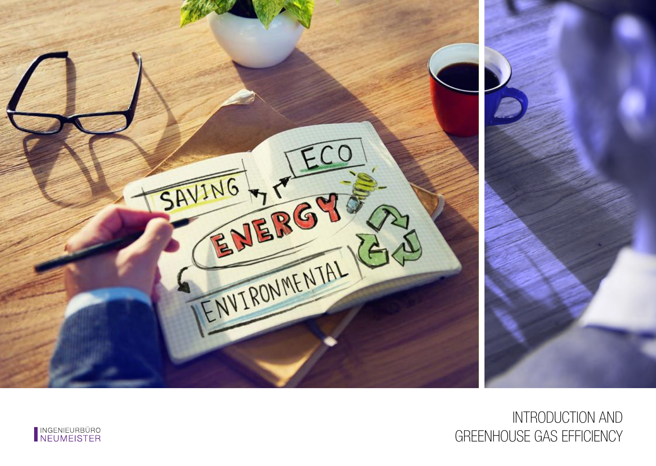

# INTRODUCTION AND GREENHOUSE GAS EFFICIENCY

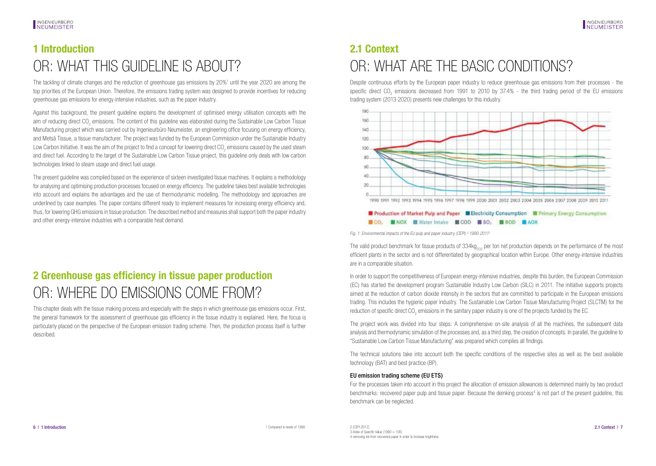# <span id="page-3-0"></span>**1 Introduction** OR: WHAT THIS GUIDELINE IS ABOUT?

The tackling of climate changes and the reduction of greenhouse gas emissions by 20%<sup>1</sup> until the year 2020 are among the top priorities of the European Union. Therefore, the emissions trading system was designed to provide incentives for reducing greenhouse gas emissions for energy-intensive industries, such as the paper industry.

Against this background, the present guideline explains the development of optimised energy utilisation concepts with the aim of reducing direct CO<sub>2</sub> emissions. The content of this guideline was elaborated during the Sustainable Low Carbon Tissue Manufacturing project which was carried out by Ingenieurbüro Neumeister, an engineering office focusing on energy efficiency, and Metsä Tissue, a tissue manufacturer. The project was funded by the European Commission under the Sustainable Industry Low Carbon Initiative. It was the aim of the project to find a concept for lowering direct CO<sub>2</sub> emissions caused by the used steam and direct fuel. According to the target of the Sustainable Low Carbon Tissue project, this guideline only deals with low carbon technologies linked to steam usage and direct fuel usage.

The present guideline was compiled based on the experience of sixteen investigated tissue machines. It explains a methodology for analysing and optimising production processes focused on energy efficiency. The guideline takes best available technologies into account and explains the advantages and the use of thermodynamic modelling. The methodology and approaches are underlined by case examples. The paper contains different ready to implement measures for increasing energy efficiency and, thus, for lowering GHG emissions in tissue production. The described method and measures shall support both the paper industry and other energy-intensive industries with a comparable heat demand.

## **2 Greenhouse gas efficiency in tissue paper production** OR: WHERE DO EMISSIONS COME FROM?

This chapter deals with the tissue making process and especially with the steps in which greenhouse gas emissions occur. First, the general framework for the assessment of greenhouse gas efficiency in the tissue industry is explained. Here, the focus is particularly placed on the perspective of the European emission trading scheme. Then, the production process itself is further described.

# **2.1 Context** OR: WHAT ARE THE BASIC CONDITIONS?

Despite continuous efforts by the European paper industry to reduce greenhouse gas emissions from their processes - the specific direct CO<sub>2</sub> emissions decreased from 1991 to 2010 by 37.4% - the third trading period of the EU emissions trading system (2013-2020) presents new challenges for this industry.



### Production of Market Pulp and Paper Electricity Consumption Elerimary Energy Consumption **ECO.** INOX **EWater Intake ECOD ESO. BBOD EAOX**

Fig. 1: Environmental impacts of the EU pulp and paper industry (CEPI)<sup>2</sup> 1990-2011<sup>3</sup>

The valid product benchmark for tissue products of  $334kg<sub>CD</sub>$  per ton net production depends on the performance of the most efficient plants in the sector and is not differentiated by geographical location within Europe. Other energy-intensive industries are in a comparable situation.

In order to support the competitiveness of European energy-intensive industries, despite this burden, the European Commission (EC) has started the development program Sustainable Industry Low Carbon (SILC) in 2011. The initiative supports projects aimed at the reduction of carbon dioxide intensity in the sectors that are committed to participate in the European emissions trading. This includes the hygienic paper industry. The Sustainable Low Carbon Tissue Manufacturing Project (SLCTM) for the reduction of specific direct CO<sub>2</sub> emissions in the sanitary paper industry is one of the projects funded by the EC.

The project work was divided into four steps: A comprehensive on-site analysis of all the machines, the subsequent data analysis and thermodynamic simulation of the processes and, as a third step, the creation of concepts. In parallel, the guideline to "Sustainable Low Carbon Tissue Manufacturing" was prepared which compiles all findings.

The technical solutions take into account both the specific conditions of the respective sites as well as the best available technology (BAT) and best practice (BP).

### EU emission trading scheme (EU ETS)

For the processes taken into account in this project the allocation of emission allowances is determined mainly by two product benchmarks: recovered paper pulp and tissue paper. Because the deinking process<sup>4</sup> is not part of the present guideline, this benchmark can be neglected.

 $3$  Index of Specific Value (1990 = 100) 4 removing ink from recovered paper in order to increase brightness  $1$  Compared to levels of 1990.  $2$  (CEP) 2012]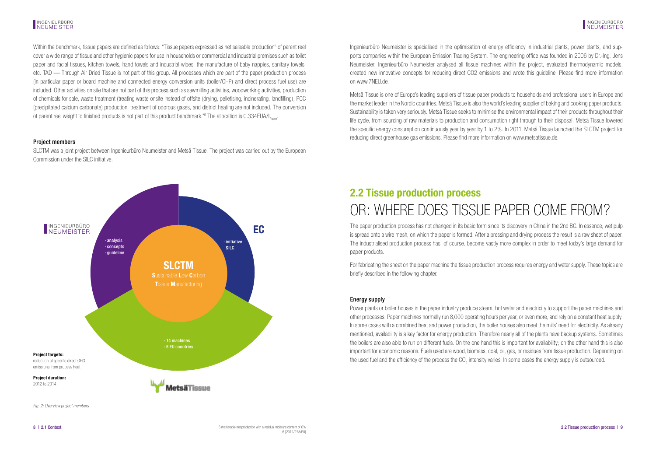#### <span id="page-4-0"></span>INGENIEURBÜRO NEUMEISTER

Within the benchmark, tissue papers are defined as follows: "Tissue papers expressed as net saleable production<sup>5</sup> of parent reel cover a wide range of tissue and other hygienic papers for use in households or commercial and industrial premises such as toilet paper and facial tissues, kitchen towels, hand towels and industrial wipes, the manufacture of baby nappies, sanitary towels, etc. TAD — Through Air Dried Tissue is not part of this group. All processes which are part of the paper production process (in particular paper or board machine and connected energy conversion units (boiler/CHP) and direct process fuel use) are included. Other activities on site that are not part of this process such as sawmilling activities, woodworking activities, production of chemicals for sale, waste treatment (treating waste onsite instead of offsite (drying, pelletising, incinerating, landfilling), PCC (precipitated calcium carbonate) production, treatment of odorous gases, and district heating are not included. The conversion of parent reel weight to finished products is not part of this product benchmark."<sup>6</sup> The allocation is 0.334EUA/t<sub>Paper</sub>

### Project members

SLCTM was a joint project between Ingenieurbüro Neumeister and Metsä Tissue. The project was carried out by the European Commission under the SILC initiative.



### Ingenieurbüro Neumeister is specialised in the optimisation of energy efficiency in industrial plants, power plants, and supports companies within the European Emission Trading System. The engineering office was founded in 2006 by Dr.-Ing. Jens Neumeister. Ingenieurbüro Neumeister analysed all tissue machines within the project, evaluated thermodynamic models, created new innovative concepts for reducing direct CO2 emissions and wrote this guideline. Please find more information on www.7NEU.de.

Metsä Tissue is one of Europe's leading suppliers of tissue paper products to households and professional users in Europe and the market leader in the Nordic countries. Metsä Tissue is also the world's leading supplier of baking and cooking paper products. Sustainability is taken very seriously. Metsä Tissue seeks to minimise the environmental impact of their products throughout their life cycle, from sourcing of raw materials to production and consumption right through to their disposal. Metsä Tissue lowered the specific energy consumption continuously year by year by 1 to 2%. In 2011, Metsä Tissue launched the SLCTM project for reducing direct greenhouse gas emissions. Please find more information on www.metsatissue.de.

## **2.2 Tissue production process** OR: WHERE DOES TISSUE PAPER COME FROM?

The paper production process has not changed in its basic form since its discovery in China in the 2nd BC. In essence, wet pulp is spread onto a wire mesh, on which the paper is formed. After a pressing and drying process the result is a raw sheet of paper. The industrialised production process has, of course, become vastly more complex in order to meet today's large demand for paper products.

For fabricating the sheet on the paper machine the tissue production process requires energy and water supply. These topics are briefly described in the following chapter.

### Energy supply

Power plants or boiler houses in the paper industry produce steam, hot water and electricity to support the paper machines and other processes. Paper machines normally run 8,000 operating hours per year, or even more, and rely on a constant heat supply. In some cases with a combined heat and power production, the boiler houses also meet the mills' need for electricity. As already mentioned, availability is a key factor for energy production. Therefore nearly all of the plants have backup systems. Sometimes the boilers are also able to run on different fuels. On the one hand this is important for availability; on the other hand this is also important for economic reasons. Fuels used are wood, biomass, coal, oil, gas, or residues from tissue production. Depending on the used fuel and the efficiency of the process the CO<sub>2</sub> intensity varies. In some cases the energy supply is outsourced.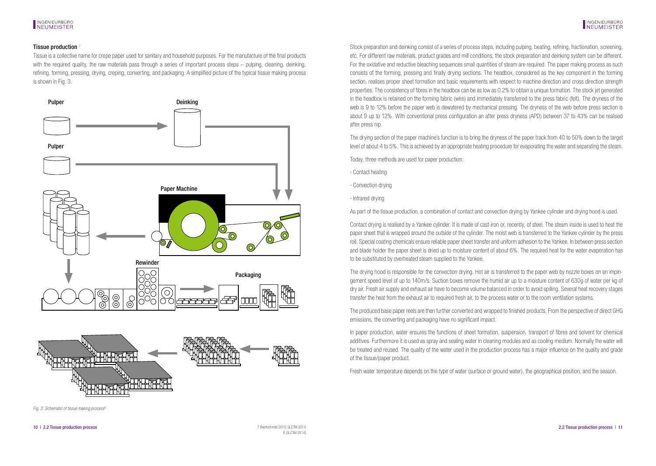### Tissue production<sup>7</sup>

Tissue is a collective name for crepe paper used for sanitary and household purposes. For the manufacture of the final products with the required quality, the raw materials pass through a series of important process steps – pulping, cleaning, deinking, refining, forming, pressing, drying, creping, converting, and packaging. A simplified picture of the typical tissue making process is shown in Fig. 3.





Fig. 3: Schematic of tissue making process<sup>6</sup>

Stock preparation and deinking consist of a series of process steps, including pulping, beating, refining, fractionation, screening, etc. For different raw materials, product grades and mill conditions, the stock preparation and deinking system can be different. For the oxidative and reductive bleaching sequences small quantities of steam are required. The paper making process as such consists of the forming, pressing and finally drying sections. The headbox, considered as the key component in the forming section, realises proper sheet formation and basic requirements with respect to machine direction and cross direction strength properties. The consistency of fibres in the headbox can be as low as 0.2% to obtain a unique formation. The stock jet generated in the headbox is retained on the forming fabric (wire) and immediately transferred to the press fabric (felt). The dryness of the web is 9 to 12% before the paper web is dewatered by mechanical pressing. The dryness of the web before press section is about 9 up to 12%. With conventional press configuration an after press dryness (APD) between 37 to 43% can be realised after press nip.

The drying section of the paper machine's function is to bring the dryness of the paper track from 40 to 50% down to the target level of about 4 to 5%. This is achieved by an appropriate heating procedure for evaporating the water and separating the steam.

Today, three methods are used for paper production:

- · Contact heating
- · Convection drying
- · Infrared drying

As part of the tissue production, a combination of contact and convection drying by Yankee cylinder and drying hood is used.

Contact drying is realised by a Yankee cylinder. It is made of cast-iron or, recently, of steel. The steam inside is used to heat the paper sheet that is wrapped around the outside of the cylinder. The moist web is transferred to the Yankee cylinder by the press roll. Special coating chemicals ensure reliable paper sheet transfer and uniform adhesion to the Yankee. In between press section and blade holder the paper sheet is dried up to moisture content of about 6%. The required heat for the water evaporation has to be substituted by overheated steam supplied to the Yankee.

The drying hood is responsible for the convection drying. Hot air is transferred to the paper web by nozzle boxes on an impingement speed level of up to 140m/s. Suction boxes remove the humid air up to a moisture content of 630g of water per kg of dry air. Fresh air supply and exhaust air have to become volume balanced in order to avoid spilling. Several heat recovery stages transfer the heat from the exhaust air to required fresh air, to the process water or to the room ventilation systems.

The produced base paper reels are then further converted and wrapped to finished products. From the perspective of direct GHG emissions, the converting and packaging have no significant impact.

In paper production, water ensures the functions of sheet formation, suspension, transport of fibres and solvent for chemical additives. Furthermore it is used as spray and sealing water in cleaning modules and as cooling medium. Normally the water will be treated and reused. The quality of the water used in the production process has a major influence on the quality and grade of the tissue/paper product.

Fresh water temperature depends on the type of water (surface or ground water), the geographical position, and the season.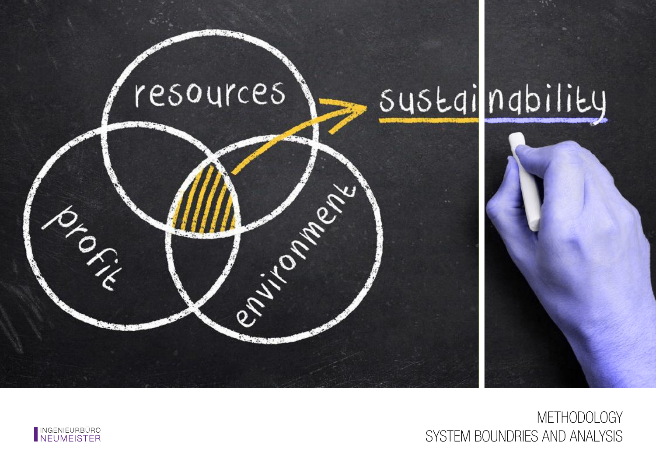

**METHODOLOGY** SYSTEM BOUNDRIES AND ANALYSIS

![](_page_6_Picture_2.jpeg)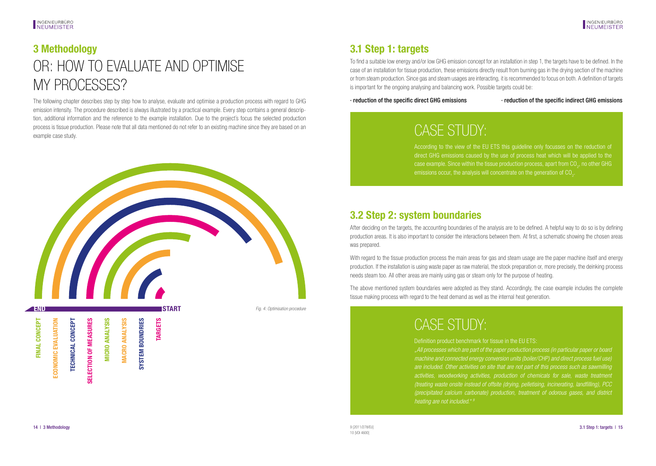# <span id="page-7-0"></span>**3 Methodology** OR: HOW TO EVALUATE AND OPTIMISE MY PROCESSES?

The following chapter describes step by step how to analyse, evaluate and optimise a production process with regard to GHG emission intensity. The procedure described is always illustrated by a practical example. Every step contains a general description, additional information and the reference to the example installation. Due to the project´s focus the selected production process is tissue production. Please note that all data mentioned do not refer to an existing machine since they are based on an example case study.

![](_page_7_Picture_4.jpeg)

## **3.1 Step 1: targets**

To find a suitable low energy and/or low GHG emission concept for an installation in step 1, the targets have to be defined. In the case of an installation for tissue production, these emissions directly result from burning gas in the drying section of the machine or from steam production. Since gas and steam usages are interacting, it is recommended to focus on both. A definition of targets is important for the ongoing analysing and balancing work. Possible targets could be:

· reduction of the specific direct GHG emissions · reduction of the specific indirect GHG emissions

# CASE STUDY:

According to the view of the EU ETS this guideline only focusses on the reduction of direct GHG emissions caused by the use of process heat which will be applied to the case example. Since within the tissue production process, apart from CO<sub>2</sub>, no other GHG

## **3.2 Step 2: system boundaries**

After deciding on the targets, the accounting boundaries of the analysis are to be defined. A helpful way to do so is by defining production areas. It is also important to consider the interactions between them. At first, a schematic showing the chosen areas was prepared.

With regard to the tissue production process the main areas for gas and steam usage are the paper machine itself and energy production. If the installation is using waste paper as raw material, the stock preparation or, more precisely, the deinking process needs steam too. All other areas are mainly using gas or steam only for the purpose of heating.

The above mentioned system boundaries were adopted as they stand. Accordingly, the case example includes the complete tissue making process with regard to the heat demand as well as the internal heat generation.

# CASE STUDY:

Definition product benchmark for tissue in the EU ETS:

*"All processes which are part of the paper production process (in particular paper or board machine and connected energy conversion units (boiler/CHP) and direct process fuel use) are included. Other activities on site that are not part of this process such as sawmilling activities, woodworking activities, production of chemicals for sale, waste treatment (treating waste onsite instead of offsite (drying, pelletising, incinerating, landfilling), PCC (precipitated calcium carbonate) production, treatment of odorous gases, and district heating are not included." 9*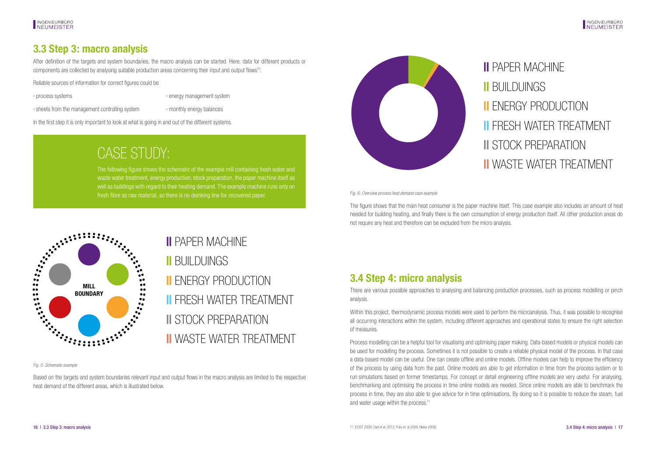## <span id="page-8-0"></span>**3.3 Step 3: macro analysis**

After definition of the targets and system boundaries, the macro analysis can be started. Here, data for different products or components are collected by analysing suitable production areas concerning their input and output flows<sup>10</sup>

Reliable sources of information for correct figures could be

· process systems · energy management system

· sheets from the management controlling system **· monthly energy balances** 

In the first step it is only important to look at what is going in and out of the different systems.

# CASE STUDY:

The following figure shows the schematic of the example mill containing fresh water and waste water treatment, energy production, stock preparation, the paper machine itself as well as buildings with regard to their heating demand. The example machine runs only on fresh fibre as raw material, so there is no deinking line for recovered paper. Fig. 6: Overview process heat demand case example

![](_page_8_Picture_12.jpeg)

**||** PAPER MACHINE **||** BUILDUINGS **||** ENERGY PRODUCTION **||** FRESH WATER TREATMENT **||** STOCK PREPARATION **||** WASTE WATER TREATMENT

The figure shows that the main heat consumer is the paper machine itself. This case example also includes an amount of heat needed for building heating, and finally there is the own consumption of energy production itself. All other production areas do not require any heat and therefore can be excluded from the micro analysis.

![](_page_8_Figure_16.jpeg)

## **||** PAPER MACHINE

**||** BUILDUINGS **||** ENERGY PRODUCTION **||** FRESH WATER TREATMENT **||** STOCK PREPARATION **||** WASTE WATER TREATMENT

Fig. 5: Schematic example

Based on the targets and system boundaries relevant input and output flows in the macro analysis are limited to the respective heat demand of the different areas, which is illustrated below.

## **3.4 Step 4: micro analysis**

There are various possible approaches to analysing and balancing production processes, such as process modelling or pinch analysis.

Within this project, thermodynamic process models were used to perform the microanalysis. Thus, it was possible to recognise all occurring interactions within the system, including different approaches and operational states to ensure the right selection of measures.

Process modelling can be a helpful tool for visualising and optimising paper making. Data-based models or physical models can be used for modelling the process. Sometimes it is not possible to create a reliable physical model of the process. In that case a data-based model can be useful. One can create offline and online models. Offline models can help to improve the efficiency of the process by using data from the past. Online models are able to get information in time from the process system or to run simulations based on former timestamps. For concept or detail engineering offline models are very useful. For analysing, benchmarking and optimising the process in time online models are needed. Since online models are able to benchmark the process in time, they are also able to give advice for in time optimisations. By doing so it is possible to reduce the steam, fuel and water usage within the process.<sup>11</sup>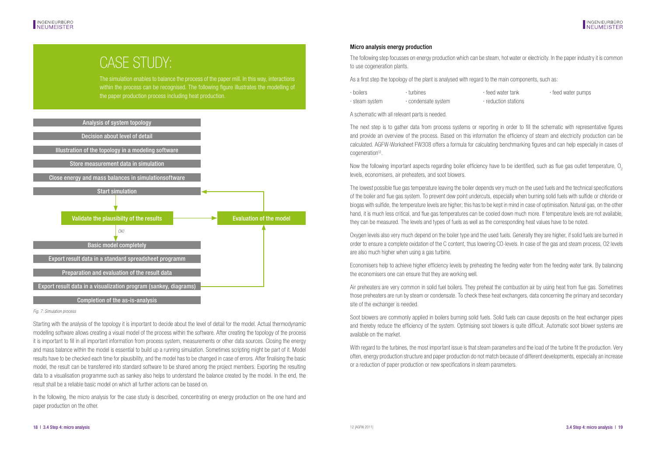## CASE STUDY:

The simulation enables to balance the process of the paper mill. In this way, interactions within the process can be recognised. The following figure illustrates the modelling of the paper production process including heat production.

![](_page_9_Figure_4.jpeg)

Fig. 7: Simulation process

Starting with the analysis of the topology it is important to decide about the level of detail for the model. Actual thermodynamic modelling software allows creating a visual model of the process within the software. After creating the topology of the process it is important to fill in all important information from process system, measurements or other data sources. Closing the energy and mass balance within the model is essential to build up a running simulation. Sometimes scripting might be part of it. Model results have to be checked each time for plausibility, and the model has to be changed in case of errors. After finalising the basic model, the result can be transferred into standard software to be shared among the project members. Exporting the resulting data to a visualisation programme such as sankey also helps to understand the balance created by the model. In the end, the result shall be a reliable basic model on which all further actions can be based on.

In the following, the micro analysis for the case study is described, concentrating on energy production on the one hand and paper production on the other.

### Micro analysis energy production

The following step focusses on energy production which can be steam, hot water or electricity. In the paper industry it is common to use cogeneration plants.

As a first step the topology of the plant is analysed with regard to the main components, such as:

| · boilers      | turbines          | · feed water tank    | feed water pumps |
|----------------|-------------------|----------------------|------------------|
| • steam svstem | condensate system | · reduction stations |                  |

A schematic with all relevant parts is needed.

The next step is to gather data from process systems or reporting in order to fill the schematic with representative figures and provide an overview of the process. Based on this information the efficiency of steam and electricity production can be calculated. AGFW-Worksheet FW308 offers a formula for calculating benchmarking figures and can help especially in cases of cogeneration<sup>12</sup>.

Now the following important aspects regarding boiler efficiency have to be identified, such as flue gas outlet temperature, O<sub>2</sub> levels, economisers, air preheaters, and soot blowers.

The lowest possible flue gas temperature leaving the boiler depends very much on the used fuels and the technical specifications of the boiler and flue gas system. To prevent dew point undercuts, especially when burning solid fuels with sulfide or chloride or biogas with sulfide, the temperature levels are higher; this has to be kept in mind in case of optimisation. Natural gas, on the other hand, it is much less critical, and flue gas temperatures can be cooled down much more. If temperature levels are not available, they can be measured. The levels and types of fuels as well as the corresponding heat values have to be noted.

Oxygen levels also very much depend on the boiler type and the used fuels. Generally they are higher, if solid fuels are burned in order to ensure a complete oxidation of the C content, thus lowering CO-levels. In case of the gas and steam process, O2 levels are also much higher when using a gas turbine.

Economisers help to achieve higher efficiency levels by preheating the feeding water from the feeding water tank. By balancing the economisers one can ensure that they are working well.

Air preheaters are very common in solid fuel boilers. They preheat the combustion air by using heat from flue gas. Sometimes those preheaters are run by steam or condensate. To check these heat exchangers, data concerning the primary and secondary site of the exchanger is needed.

Soot blowers are commonly applied in boilers burning solid fuels. Solid fuels can cause deposits on the heat exchanger pipes and thereby reduce the efficiency of the system. Optimising soot blowers is quite difficult. Automatic soot blower systems are available on the market.

With regard to the turbines, the most important issue is that steam parameters and the load of the turbine fit the production. Very often, energy production structure and paper production do not match because of different developments, especially an increase or a reduction of paper production or new specifications in steam parameters.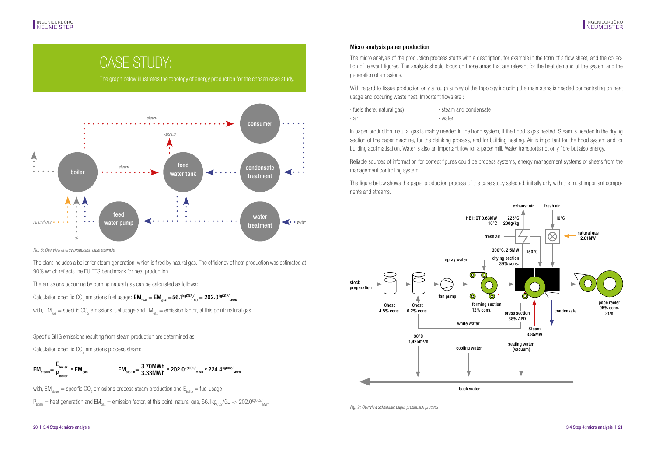## CASE STUDY:

The graph below illustrates the topology of energy production for the chosen case study.

![](_page_10_Figure_4.jpeg)

Fig. 8: Overview energy production case example

The plant includes a boiler for steam generation, which is fired by natural gas. The efficiency of heat production was estimated at 90% which reflects the EU ETS benchmark for heat production.

The emissions occurring by burning natural gas can be calculated as follows:

Calculation specific CO<sub>2</sub> emissions fuel usage:  $\mathsf{EM}_{_{\sf fuel}} = \mathsf{EM}_{_{\sf gas}} =$  56.1<sup>kgco2</sup>⁄<sub>6J</sub> = 202.0<sup>kgco2⁄</sup> www

with, EM $_{_{\rm fuel}}$  = specific CO<sub>2</sub> emissions fuel usage and EM $_{\rm gas}$  = emission factor, at this point: natural gas

Specific GHG emissions resulting from steam production are determined as:

Calculation specific  $CO<sub>2</sub>$  emissions process steam:

$$
EM_{\text{steam}} = \frac{E_{\text{boiler}}}{P_{\text{boiler}}} \times EM_{\text{gas}}
$$
  

$$
EM_{\text{steam}} = \frac{3.70MWh}{3.33MWh} \times 202.0^{\text{kgCO2}}/_{\text{MWh}} \times 224.4^{\text{kgCO2}}/_{\text{MWh}}
$$

with, EM $_{\textrm{\tiny{steam}}}$  = specific CO<sub>2</sub> emissions process steam production and E<sub>boiler</sub> = fuel usage

 $P_{\text{boller}}=$  heat generation and EM $_{\text{gas}}=$  emission factor, at this point: natural gas, 56.1kg $_{\text{CO2}}$ /GJ - $>$  202.0<sup>kgCO2</sup>/<sub>MWn</sub>

### Micro analysis paper production

The micro analysis of the production process starts with a description, for example in the form of a flow sheet, and the collection of relevant figures. The analysis should focus on those areas that are relevant for the heat demand of the system and the generation of emissions.

With regard to tissue production only a rough survey of the topology including the main steps is needed concentrating on heat usage and occuring waste heat. Important flows are :

| fuels (here: natural gas) | steam and condensate |
|---------------------------|----------------------|
| → air                     | · water              |

In paper production, natural gas is mainly needed in the hood system, if the hood is gas heated. Steam is needed in the drying section of the paper machine, for the deinking process, and for building heating. Air is important for the hood system and for building acclimatisation. Water is also an important flow for a paper mill. Water transports not only fibre but also energy.

Reliable sources of information for correct figures could be process systems, energy management systems or sheets from the management controlling system.

The figure below shows the paper production process of the case study selected, initially only with the most important components and streams.

![](_page_10_Figure_22.jpeg)

Fig. 9: Overview schematic paper production process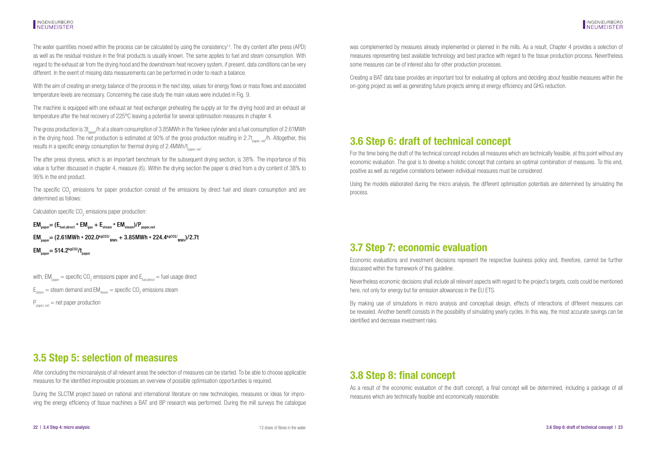## <span id="page-11-0"></span>INGENIEURBÜRO<br>INFUMFISTER

The water quantities moved within the process can be calculated by using the consistency<sup>13</sup>. The dry content after press (APD) as well as the residual moisture in the final products is usually known. The same applies to fuel and steam consumption. With regard to the exhaust air from the drying hood and the downstream heat recovery system, if present, data conditions can be very different. In the event of missing data measurements can be performed in order to reach a balance.

With the aim of creating an energy balance of the process in the next step, values for energy flows or mass flows and associated temperature levels are necessary. Concerning the case study the main values were included in Fig. 9.

The machine is equipped with one exhaust air heat exchanger preheating the supply air for the drying hood and an exhaust air temperature after the heat recovery of 225°C leaving a potential for several optimisation measures in chapter 4.

The gross production is 3t<sub>sape</sub>/h at a steam consumption of 3.85MWh in the Yankee cylinder and a fuel consumption of 2.61MWh in the drying hood. The net production is estimated at 90% of the gross production resulting in  $2.7t_{\text{noner, col}}/h$ . Altogether, this results in a specific energy consumption for thermal drying of 2.4MWh/t<sub>paper, net</sub>.

The after press dryness, which is an important benchmark for the subsequent drying section, is 38%. The importance of this value is further discussed in chapter 4, measure (6). Within the drying section the paper is dried from a dry content of 38% to 95% in the end product.

The specific CO<sub>2</sub> emissions for paper production consist of the emissions by direct fuel and steam consumption and are determined as follows:

Calculation specific CO<sub>2</sub> emissions paper production:

 $EM_{\text{nonper}} = (E_{\text{final direct}} * EM_{\text{gas}} + E_{\text{stream}} * EM_{\text{stream}})/P_{\text{nonpernet}}$ EM<sub>paper</sub>= (2.61MWh \* 202.0<sup>kgCO2/</sup><sub>mwh</sub> + 3.85MWh \* 224.4<sup>kgCO2/</sup><sub>mwh</sub>)/2.7t  $EM_{\text{p}2\text{p}2\text{m}} = 514.2\frac{\text{kgCO2}}{\text{m}2\text{m}}$ 

with, EM $_{_{\sf paper}}$  = specific CO $_{_2}$  emissions paper and  $\mathsf{E}_{_{\sf fuel,direct}}$  = fuel usage direct

 $\mathsf{E}_{\mathsf{stem}} = \mathsf{steam}$  demand and  $\mathsf{EM}_{\mathsf{stem}} = \mathsf{specific}\ \mathsf{CO}_2$  emissions steam

 $P_{\text{paper net}} = \text{net paper production}$ 

was complemented by measures already implemented or planned in the mills. As a result, Chapter 4 provides a selection of measures representing best available technology and best practice with regard to the tissue production process. Nevertheless some measures can be of interest also for other production processes.

Creating a BAT data base provides an important tool for evaluating all options and deciding about feasible measures within the on-going project as well as generating future projects aiming at energy efficiency and GHG reduction.

### **3.6 Step 6: draft of technical concept**

For the time being the draft of the technical concept includes all measures which are technically feasible, at this point without any economic evaluation. The goal is to develop a holistic concept that contains an optimal combination of measures. To this end, positive as well as negative correlations between individual measures must be considered.

Using the models elaborated during the micro analysis, the different optimisation potentials are determined by simulating the process.

### **3.7 Step 7: economic evaluation**

Economic evaluations and investment decisions represent the respective business policy and, therefore, cannot be further discussed within the framework of this guideline.

Nevertheless economic decisions shall include all relevant aspects with regard to the project`s targets, costs could be mentioned here, not only for energy but for emission allowances in the EU ETS.

By making use of simulations in micro analysis and conceptual design, effects of interactions of different measures can be revealed. Another benefit consists in the possibility of simulating yearly cycles. In this way, the most accurate savings can be identified and decrease investment risks.

### **3.5 Step 5: selection of measures**

After concluding the microanalysis of all relevant areas the selection of measures can be started. To be able to choose applicable measures for the identified improvable processes an overview of possible optimisation opportunities is required.

During the SLCTM project based on national and international literature on new technologies, measures or ideas for improving the energy efficiency of tissue machines a BAT and BP research was performed. During the mill surveys the catalogue

### **3.8 Step 8: final concept**

As a result of the economic evaluation of the draft concept, a final concept will be determined, including a package of all measures which are technically feasible and economically reasonable.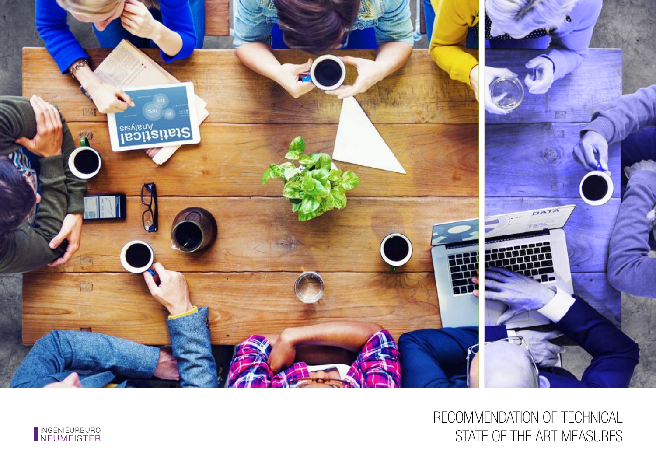![](_page_12_Picture_0.jpeg)

# RECOMMENDATION OF TECHNICAL STATE OF THE ART MEASURES

![](_page_12_Picture_2.jpeg)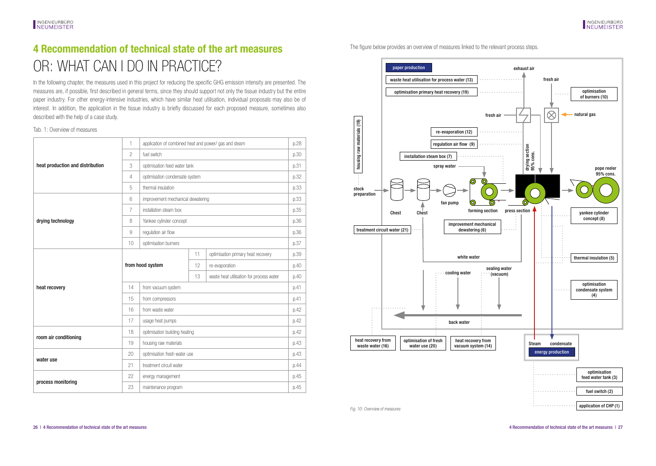## <span id="page-13-0"></span>**4 Recommendation of technical state of the art measures** OR: WHAT CAN I DO IN PRACTICE?

In the following chapter, the measures used in this project for reducing the specific GHG emission intensity are presented. The measures are, if possible, first described in general terms, since they should support not only the tissue industry but the entire paper industry. For other energy-intensive industries, which have similar heat utilisation, individual proposals may also be of interest. In addition, the application in the tissue industry is briefly discussed for each proposed measure, sometimes also described with the help of a case study.

### Tab. 1: Overview of measures

|                                  | 1                | application of combined heat and power/ gas and steam |                                |                                          | p.28 |
|----------------------------------|------------------|-------------------------------------------------------|--------------------------------|------------------------------------------|------|
|                                  | $\overline{c}$   | fuel switch                                           |                                |                                          | p.30 |
| heat production and distribution | 3                |                                                       | optimisation feed water tank   |                                          |      |
|                                  | $\overline{4}$   |                                                       | optimisation condensate system |                                          |      |
|                                  | 5                | thermal insulation                                    |                                |                                          |      |
|                                  | 6                | improvement mechanical dewatering                     |                                |                                          | p.33 |
|                                  | $\overline{7}$   | installation steam box                                |                                |                                          |      |
| drying technology                | 8                | Yankee cylinder concept                               |                                |                                          | p.36 |
|                                  | $\overline{9}$   | regulation air flow                                   |                                |                                          |      |
|                                  | 10               | optimisation burners                                  |                                |                                          | p.37 |
|                                  |                  |                                                       | 11                             | optimisation primary heat recovery       | p.39 |
|                                  | from hood system |                                                       | 12                             | re-evaporation                           | p.40 |
|                                  |                  |                                                       | 13                             | waste heat utilisation for process water | p.40 |
| heat recovery                    | 14               | from vacuum system                                    |                                |                                          | 0.41 |
|                                  | 15               | from compressors                                      |                                |                                          | p.41 |
|                                  | 16               | from waste water                                      |                                |                                          | p.42 |
|                                  | 17               | usage heat pumps                                      |                                |                                          | p.42 |
| room air conditioning            | 18               | optimisation building heating                         |                                |                                          | 0.42 |
|                                  | 19               | housing raw materials                                 |                                |                                          | p.43 |
| water use                        | 20               | optimisation fresh water use                          |                                |                                          | p.43 |
|                                  | 21               | treatment circuit water                               |                                |                                          | p.44 |
|                                  | 22               | energy management                                     |                                |                                          | 0.45 |
| process monitoring               | 23               | maintenance program                                   |                                |                                          | p.45 |

The figure below provides an overview of measures linked to the relevant process steps.

![](_page_13_Figure_7.jpeg)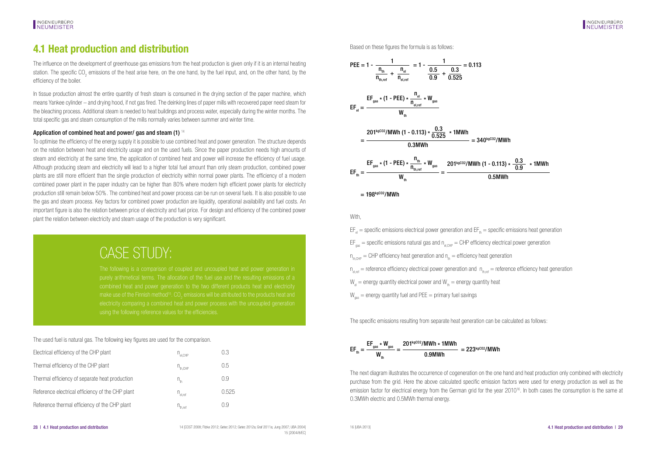## <span id="page-14-0"></span>**4.1 Heat production and distribution**

The influence on the development of greenhouse gas emissions from the heat production is given only if it is an internal heating station. The specific CO<sub>2</sub> emissions of the heat arise here, on the one hand, by the fuel input, and, on the other hand, by the efficiency of the boiler.

In tissue production almost the entire quantity of fresh steam is consumed in the drying section of the paper machine, which means Yankee cylinder – and drying hood, if not gas fired. The deinking lines of paper mills with recovered paper need steam for the bleaching process. Additional steam is needed to heat buildings and process water, especially during the winter months. The total specific gas and steam consumption of the mills normally varies between summer and winter time.

### Application of combined heat and power/ gas and steam (1)  $14$

To optimise the efficiency of the energy supply it is possible to use combined heat and power generation. The structure depends on the relation between heat and electricity usage and on the used fuels. Since the paper production needs high amounts of steam and electricity at the same time, the application of combined heat and power will increase the efficiency of fuel usage. Although producing steam and electricity will lead to a higher total fuel amount than only steam production, combined power plants are still more efficient than the single production of electricity within normal power plants. The efficiency of a modern combined power plant in the paper industry can be higher than 80% where modern high efficient power plants for electricity production still remain below 50%. The combined heat and power process can be run on several fuels. It is also possible to use the gas and steam process. Key factors for combined power production are liquidity, operational availability and fuel costs. An important figure is also the relation between price of electricity and fuel price. For design and efficiency of the combined power plant the relation between electricity and steam usage of the production is very significant.

## CASE STUDY:

purely arithmetical terms. The allocation of the fuel use and the resulting emissions of a combined heat and power generation to the two different products heat and electricity using the following reference values for the efficiencies.

The used fuel is natural gas. The following key figures are used for the comparison.

| Electrical efficiency of the CHP plant           | $n_{\text{eLCHP}}$                             | 0.3   |
|--------------------------------------------------|------------------------------------------------|-------|
| Thermal efficiency of the CHP plant              | $n_{\text{th CHP}}$                            | 0.5   |
| Thermal efficiency of separate heat production   | $\mathsf{n}_{\scriptscriptstyle{\mathsf{th}}}$ | 0.9   |
| Reference electrical efficiency of the CHP plant | $n_{\text{el.ref}}$                            | 0.525 |
| Reference thermal efficiency of the CHP plant    | $n_{\text{th.ref}}$                            | 0.9   |

Based on these figures the formula is as follows:

![](_page_14_Figure_12.jpeg)

![](_page_14_Figure_13.jpeg)

With,

 $EF_{nl}$  = specific emissions electrical power generation and  $EF_{nk}$  = specific emissions heat generation  $EF_{\text{max}}$  = specific emissions natural gas and  $n_{\text{norm}}$  = CHP efficiency electrical power generation  $n_{th,CHP}$  = CHP efficiency heat generation and  $n_{th}$  = efficiency heat generation  $n_{\text{start}}$  = reference efficiency electrical power generation and  $n_{\text{start}}$  = reference efficiency heat generation  $W =$  energy quantity electrical power and  $W =$  energy quantity heat  $W_{\text{gas}}$  = energy quantity fuel and PEE = primary fuel savings

The specific emissions resulting from separate heat generation can be calculated as follows:

![](_page_14_Picture_17.jpeg)

The next diagram illustrates the occurrence of cogeneration on the one hand and heat production only combined with electricity purchase from the grid. Here the above calculated specific emission factors were used for energy production as well as the emission factor for electrical energy from the German grid for the year 2010<sup>16</sup>. In both cases the consumption is the same at 0.3MWh electric and 0.5MWh thermal energy.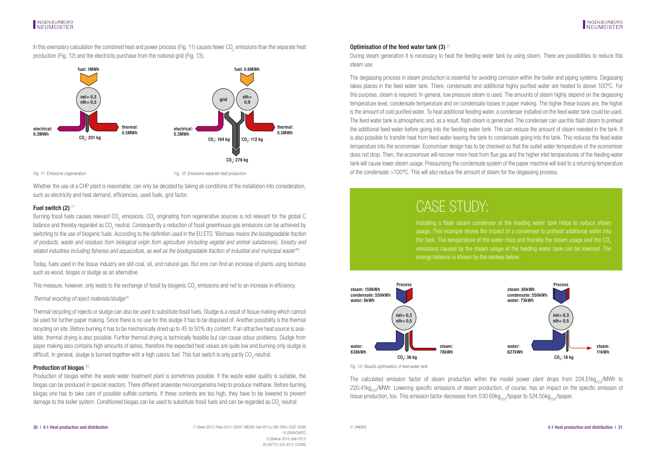In this exemplary calculation the combined heat and power process (Fig. 11) causes fewer CO<sub>2</sub> emissions than the separate heat production (Fig. 12) and the electricity purchase from the national grid (Fig. 13).

![](_page_15_Figure_3.jpeg)

![](_page_15_Figure_4.jpeg)

Fig. 11: Emissions cogeneration Fig. 12: Emissions separate heat production

Whether the use of a CHP plant is reasonable, can only be decided by taking all conditions of the installation into consideration, such as electricity and heat demand, efficiencies, used fuels, grid factor.

### Fuel switch (2) 17

Burning fossil fuels causes relevant CO<sub>2</sub> emissions. CO<sub>2</sub> originating from regenerative sources is not relevant for the global C balance and thereby regarded as CO<sub>2</sub> neutral. Consequently a reduction of fossil greenhouse gas emissions can be achieved by switching to the use of biogenic fuels. According to the definition used in the EU ETS *"Biomass means the biodegradable fraction of products, waste and residues from biological origin from agriculture (including vegetal and animal substances), forestry and related industries including fisheries and aquaculture, as well as the biodegradable fraction of industrial and municipal waste"*18.

Today, fuels used in the tissue industry are still coal, oil, and natural gas. But one can find an increase of plants using biomass such as wood, biogas or sludge as an alternative.

This measure, however, only leads to the exchange of fossil by biogenic CO<sub>2</sub> emissions and not to an increase in efficiency.

### *Thermal recycling of reject materials/sludge*<sup>19</sup>

Thermal recycling of rejects or sludge can also be used to substitute fossil fuels. Sludge is a result of tissue making which cannot be used for further paper making. Since there is no use for this sludge it has to be disposed of. Another possibility is the thermal recycling on site. Before burning it has to be mechanically dried up to 45 to 50% dry content. If an attractive heat source is available, thermal drying is also possible. Further thermal drying is technically feasible but can cause odour problems. Sludge from paper making also contains high amounts of ashes, therefore the expected heat values are quite low and burning only sludge is difficult. In general, sludge is burned together with a high caloric fuel. This fuel switch is only partly CO<sub>2</sub>-neutral.

### Production of biogas<sup>20</sup>

Production of biogas within the waste water treatment plant is sometimes possible. If the waste water quality is suitable, the biogas can be produced in special reactors. There different anaerobe microorganisms help to produce methane. Before burning biogas one has to take care of possible sulfide contents. If these contents are too high, they have to be lowered to prevent damage to the boiler system. Conditioned biogas can be used to substitute fossil fuels and can be regarded as CO<sub>2</sub> neutral.

### Optimisation of the feed water tank (3)  $21$

During steam generation it is necessary to heat the feeding water tank by using steam. There are possibilities to reduce this steam use.

The degassing process in steam production is essential for avoiding corrosion within the boiler and piping systems. Degassing takes places in the feed water tank. There, condensate and additional highly purified water are heated to above 100°C. For this purpose, steam is required. In general, low pressure steam is used. The amounts of steam highly depend on the degassing temperature level, condensate temperature and on condensate losses in paper making. The higher these losses are, the higher is the amount of cold purified water. To heat additional feeding water, a condenser installed on the feed water tank could be used. The feed water tank is atmospheric and, as a result, flash steam is generated. The condenser can use this flash steam to preheat the additional feed water before going into the feeding water tank. This can reduce the amount of steam needed in the tank. It is also possible to transfer heat from feed water leaving the tank to condensate going into the tank. This reduces the feed water temperature into the economiser. Economiser design has to be checked so that the outlet water temperature of the economiser does not drop. Then, the economiser will recover more heat from flue gas and the higher inlet temperatures of the feeding water tank will cause lower steam usage. Pressurising the condensate system of the paper machine will lead to a returning temperature of the condensate >100°C. This will also reduce the amount of steam for the degassing process.

## CASE STUDY:

Installing a flash steam condenser at the feeding water tank helps to reduce steam usage. This example shows the impact of a condenser to preheat additional water into the tank. The temperature of the water rises and thereby the steam usage and the  $CO<sub>2</sub>$ emissions caused by the steam usage of the feeding water tank can be lowered. The energy balance is shown by the sankey below.

![](_page_15_Figure_20.jpeg)

Fig. 13: Results optimisation of feed water tank

The calculated emission factor of steam production within the model power plant drops from  $224.51$ kg<sub>o-c</sub>/MWh to  $220.41$ kg<sub>co2</sub>/MWh. Lowering specific emissions of steam production, of course, has an impact on the specific emission of tissue production, too. This emission factor decreases from 530.69kg<sub>co2</sub>/tpaper to 524.55kg<sub>co2</sub>/tpaper.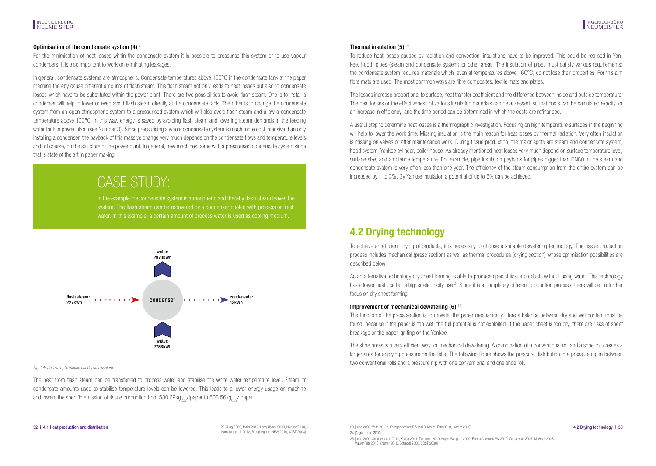### <span id="page-16-0"></span>Optimisation of the condensate system  $(4)$   $^{22}$

For the minimisation of heat losses within the condensate system it is possible to pressurise this system or to use vapour condensers. It is also important to work on eliminating leakages.

In general, condensate systems are atmospheric. Condensate temperatures above 100°C in the condensate tank at the paper machine thereby cause different amounts of flash steam. This flash steam not only leads to heat losses but also to condensate losses which have to be substituted within the power plant. There are two possibilities to avoid flash steam. One is to install a condenser will help to lower or even avoid flash steam directly at the condensate tank. The other is to change the condensate system from an open atmospheric system to a pressurised system which will also avoid flash steam and allow a condensate temperature above 100°C. In this way, energy is saved by avoiding flash steam and lowering steam demands in the feeding water tank in power plant (see Number 3). Since pressurising a whole condensate system is much more cost intensive than only installing a condenser, the payback of this massive change very much depends on the condensate flows and temperature levels and, of course, on the structure of the power plant. In general, new machines come with a pressurised condensate system since that is state of the art in paper making.

# CASE STUDY:

In the example the condensate system is atmospheric and thereby flash steam leaves the system. The flash steam can be recovered by a condenser cooled with process or fresh water. In this example, a certain amount of process water is used as cooling medium.

![](_page_16_Figure_7.jpeg)

Fig. 14: Results optimisation condensate system

The heat from flash steam can be transferred to process water and stabilise the white water temperature level. Steam or condensate amounts used to stabilise temperature levels can be lowered. This leads to a lower energy usage on machine and lowers the specific emission of tissue production from  $530.69kg<sub>cor</sub>/tpaper$  to  $508.56kg<sub>cor</sub>/tpaper$ .

### Thermal insulation  $(5)$   $^{23}$

To reduce heat losses caused by radiation and convection, insulations have to be improved. This could be realised in Yankee, hood, pipes (steam and condensate system) or other areas. The insulation of pipes must satisfy various requirements; the condensate system requires materials which, even at temperatures above 160°C, do not lose their properties. For this aim fibre mats are used. The most common ways are fibre composites, textile mats and plates.

The losses increase proportional to surface, heat transfer coefficient and the difference between inside and outside temperature. The heat losses or the effectiveness of various insulation materials can be assessed, so that costs can be calculated exactly for an increase in efficiency, and the time period can be determined in which the costs are refinanced.

A useful step to determine heat losses is a thermographic investigation. Focusing on high temperature surfaces in the beginning will help to lower the work time. Missing insulation is the main reason for heat losses by thermal radiation. Very often insulation is missing on valves or after maintenance work. During tissue production, the major spots are steam and condensate system, hood system, Yankee cylinder, boiler house. As already mentioned heat losses very much depend on surface temperature level, surface size, and ambience temperature. For example, pipe insulation payback for pipes bigger than DN80 in the steam and condensate system is very often less than one year. The efficiency of the steam consumption from the entire system can be increased by 1 to 3%. By Yankee insulation a potential of up to 5% can be achieved.

### **4.2 Drying technology**

To achieve an efficient drying of products, it is necessary to choose a suitable dewatering technology. The tissue production process includes mechanical (press section) as well as thermal procedures (drying section) whose optimisation possibilities are described below.

As an alternative technology dry sheet forming is able to produce special tissue products without using water. This technology has a lower heat use but a higher electricity use.<sup>24</sup> Since it is a completely different production process, there will be no further focus on dry sheet forming.

#### Improvement of mechanical dewatering  $(6)$  <sup>25</sup>

The function of the press section is to dewater the paper mechanically. Here a balance between dry and wet content must be found, because if the paper is too wet, the full potential is not exploited. If the paper sheet is too dry, there are risks of sheet breakage or the paper igniting on the Yankee.

The shoe press is a very efficient way for mechanical dewatering. A combination of a conventional roll and a shoe roll creates a larger area for applying pressure on the felts. The following figure shows the pressure distribution in a pressure nip in between two conventional rolls and a pressure nip with one conventional and one shoe roll.

22 [Jung 2009, Maier 2010, Lang-Hafner 2010, Niebuhr 2010, Hameister et al. 2012, EnergieAgentur.NRW 2010, COST 2008]

32 | 4.1 Heat production and distribution **4.2 Drying technology | 33** 2 [Jung 2009, Mailer 2010, Nebuh 2010, Nebuh 2010, may helian 2010, Nailer-Fritz 2010, Maurer-Fritz 2010, Kramer 2010] **4.2 Drying technology | 33** 

24 [Anglani et al. 2000]

25 [Jung 2009, Schuster et al. 2010, Kääpä 2011, Tjernberg 2010, Huyck.Wangner 2010, EnergieAgentur.NRW 2010, Cedra et al. 2007, Meßmer 2008, Maurer-Fritz 2010, Kramer 2010, Schlegel 2008, COST 2008]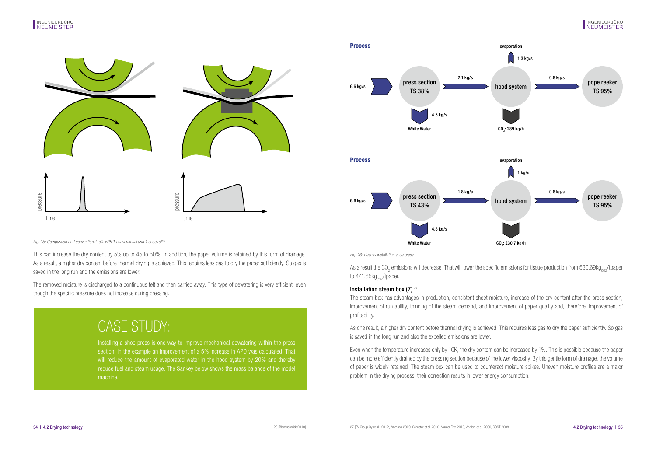![](_page_17_Figure_2.jpeg)

Fig. 15: Comparison of 2 conventional rolls with 1 conventional and 1 shoe roll<sup>26</sup>

This can increase the dry content by 5% up to 45 to 50%. In addition, the paper volume is retained by this form of drainage. As a result, a higher dry content before thermal drying is achieved. This requires less gas to dry the paper sufficiently. So gas is saved in the long run and the emissions are lower.

The removed moisture is discharged to a continuous felt and then carried away. This type of dewatering is very efficient, even though the specific pressure does not increase during pressing.

# CASE STUDY:

Installing a shoe press is one way to improve mechanical dewatering within the press section. In the example an improvement of a 5% increase in APD was calculated. That will reduce the amount of evaporated water in the hood system by 20% and thereby reduce fuel and steam usage. The Sankey below shows the mass balance of the model machine.

![](_page_17_Figure_8.jpeg)

Fig. 16: Results installation shoe press

As a result the CO<sub>2</sub> emissions will decrease. That will lower the specific emissions for tissue production from 530.69kg<sub>co2</sub>/tpaper to  $441.65kg<sub>cos</sub>/tpaper.$ 

### Installation steam box (7)  $27$

The steam box has advantages in production, consistent sheet moisture, increase of the dry content after the press section, improvement of run ability, thinning of the steam demand, and improvement of paper quality and, therefore, improvement of profitability.

As one result, a higher dry content before thermal drying is achieved. This requires less gas to dry the paper sufficiently. So gas is saved in the long run and also the expelled emissions are lower.

Even when the temperature increases only by 10K, the dry content can be increased by 1%. This is possible because the paper can be more efficiently drained by the pressing section because of the lower viscosity. By this gentle form of drainage, the volume of paper is widely retained. The steam box can be used to counteract moisture spikes. Uneven moisture profiles are a major problem in the drying process, their correction results in lower energy consumption.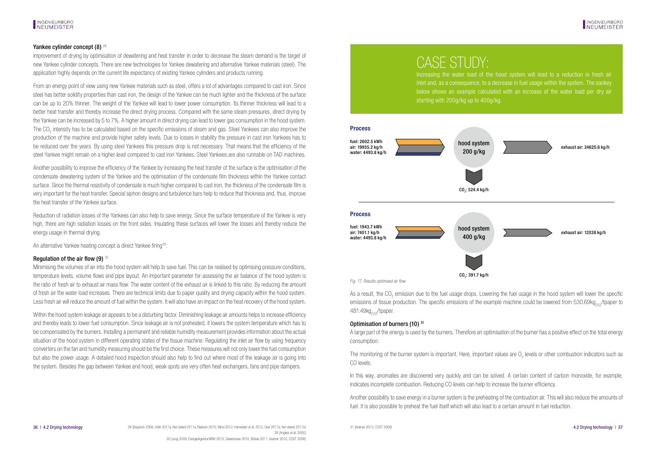### Yankee cylinder concept (8)<sup>28</sup>

Improvement of drying by optimisation of dewatering and heat transfer in order to decrease the steam demand is the target of new Yankee cylinder concepts. There are new technologies for Yankee dewatering and alternative Yankee materials (steel). The application highly depends on the current life expectancy of existing Yankee cylinders and products running.

From an energy point of view using new Yankee materials such as steel, offers a lot of advantages compared to cast iron. Since steel has better solidity properties than cast iron, the design of the Yankee can be much lighter and the thickness of the surface can be up to 20% thinner. The weight of the Yankee will lead to lower power consumption. Its thinner thickness will lead to a better heat transfer and thereby increase the direct drying process. Compared with the same steam pressures, direct drying by the Yankee can be increased by 5 to 7%. A higher amount in direct drying can lead to lower gas consumption in the hood system. The CO<sub>2</sub> intensity has to be calculated based on the specific emissions of steam and gas. Steel Yankees can also improve the production of the machine and provide higher safety levels. Due to losses in stability the pressure in cast iron Yankees has to be reduced over the years. By using steel Yankees this pressure drop is not necessary. That means that the efficiency of the steel Yankee might remain on a higher level compared to cast iron Yankees. Steel Yankees are also runnable on TAD machines.

Another possibility to improve the efficiency of the Yankee by increasing the heat transfer of the surface is the optimisation of the condensate dewatering system of the Yankee and the optimisation of the condensate film thickness within the Yankee contact surface. Since the thermal resistivity of condensate is much higher compared to cast iron, the thickness of the condensate film is very important for the heat transfer. Special siphon designs and turbulence bars help to reduce that thickness and, thus, improve the heat transfer of the Yankee surface.

Reduction of radiation losses of the Yankees can also help to save energy. Since the surface temperature of the Yankee is very high, there are high radiation losses on the front sides. Insulating these surfaces will lower the losses and thereby reduce the energy usage in thermal drying.

An alternative Yankee heating concept is direct Yankee firing29.

### Regulation of the air flow  $(9)^{30}$

Minimising the volumes of air into the hood system will help to save fuel. This can be realised by optimising pressure conditions, temperature levels, volume flows and pipe layout. An important parameter for assessing the air balance of the hood system is the ratio of fresh air to exhaust air mass flow. The water content of the exhaust air is linked to this ratio. By reducing the amount of fresh air the water load increases. There are technical limits due to paper quality and drying capacity within the hood system. Less fresh air will reduce the amount of fuel within the system. It will also have an impact on the heat recovery of the hood system.

Within the hood system leakage air appears to be a disturbing factor. Diminishing leakage air amounts helps to increase efficiency and thereby leads to lower fuel consumption. Since leakage air is not preheated, it lowers the system temperature which has to be compensated by the burners. Installing a permanent and reliable humidity measurement provides information about the actual situation of the hood system in different operating states of the tissue machine. Regulating the inlet air flow by using frequency converters on the fan and humidity measuring should be the first choice. These measures will not only lower the fuel consumption but also the power usage. A detailed hood inspection should also help to find out where most of the leakage air is going into the system. Besides the gap between Yankee and hood, weak spots are very often heat exchangers, fans and pipe dampers.

## CASE STUDY:

Increasing the water load of the hood system will lead to a reduction in fresh air inlet and, as a consequence, to a decrease in fuel usage within the system. The sankey below shows an example calculated with an increase of the water load per dry air starting with 200g/kg up to 400g/kg.

![](_page_18_Figure_13.jpeg)

Fig. 17: Results optimised air flow

As a result, the CO<sub>2</sub> emission due to the fuel usage drops. Lowering the fuel usage in the hood system will lower the specific emissions of tissue production. The specific emissions of the example machine could be lowered from  $530.69kg_{cor}/t$ paper to  $481.49$ kg $C<sub>cor</sub>$ /tpaper.

### Optimisation of burners (10) 31

A large part of the energy is used by the burners. Therefore an optimisation of the burner has a positive effect on the total energy consumption.

The monitoring of the burner system is important. Here, important values are  $0_2$  levels or other combustion indicators such as CO levels.

In this way, anomalies are discovered very quickly and can be solved. A certain content of carbon monoxide, for example, indicates incomplete combustion. Reducing CO levels can help to increase the burner efficiency.

Another possibility to save energy in a burner system is the preheating of the combustion air. This will also reduce the amounts of fuel. It is also possible to preheat the fuel itself which will also lead to a certain amount in fuel reduction.

31 [Kramer 2010, COST 2008]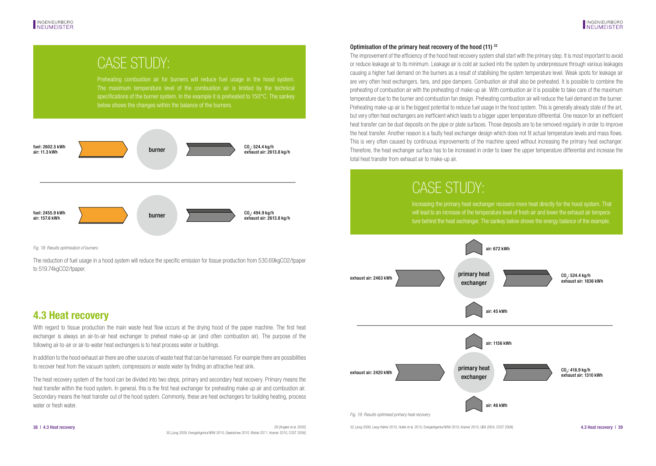## <span id="page-19-0"></span>CASE STUDY:

Preheating combustion air for burners will reduce fuel usage in the hood system. The maximum temperature level of the combustion air is limited by the technical below shows the changes within the balance of the burners.

![](_page_19_Figure_4.jpeg)

Fig. 18: Results optimisation of burners

The reduction of fuel usage in a hood system will reduce the specific emission for tissue production from 530.69kgCO2/tpaper to 519.74kgCO2/tpaper.

### **4.3 Heat recovery**

With regard to tissue production the main waste heat flow occurs at the drying hood of the paper machine. The first heat exchanger is always an air-to-air heat exchanger to preheat make-up air (and often combustion air). The purpose of the following air-to-air or air-to-water heat exchangers is to heat process water or buildings.

In addition to the hood exhaust air there are other sources of waste heat that can be harnessed. For example there are possibilities to recover heat from the vacuum system, compressors or waste water by finding an attractive heat sink.

The heat recovery system of the hood can be divided into two steps, primary and secondary heat recovery. Primary means the heat transfer within the hood system. In general, this is the first heat exchanger for preheating make up air and combustion air. Secondary means the heat transfer out of the hood system. Commonly, these are heat exchangers for building heating, process water or fresh water.

### Optimisation of the primary heat recovery of the hood (11) 32

The improvement of the efficiency of the hood heat recovery system shall start with the primary step. It is most important to avoid or reduce leakage air to its minimum. Leakage air is cold air sucked into the system by underpressure through various leakages causing a higher fuel demand on the burners as a result of stabilising the system temperature level. Weak spots for leakage air are very often heat exchangers, fans, and pipe dampers. Combustion air shall also be preheated. It is possible to combine the preheating of combustion air with the preheating of make-up air. With combustion air it is possible to take care of the maximum temperature due to the burner and combustion fan design. Preheating combustion air will reduce the fuel demand on the burner. Preheating make-up air is the biggest potential to reduce fuel usage in the hood system. This is generally already state of the art, but very often heat exchangers are inefficient which leads to a bigger upper temperature differential. One reason for an inefficient heat transfer can be dust deposits on the pipe or plate surfaces. Those deposits are to be removed regularly in order to improve the heat transfer. Another reason is a faulty heat exchanger design which does not fit actual temperature levels and mass flows. This is very often caused by continuous improvements of the machine speed without increasing the primary heat exchanger. Therefore, the heat exchanger surface has to be increased in order to lower the upper temperature differential and increase the total heat transfer from exhaust air to make-up air.

# CASE STUDY:

Increasing the primary heat exchanger recovers more heat directly for the hood system. That will lead to an increase of the temperature level of fresh air and lower the exhaust air temperature behind the heat exchanger. The sankey below shows the energy balance of the example.

![](_page_19_Figure_15.jpeg)

38 | 4.3 Heat recovery statement al. 2000 29 [Anglani et al. 2000] 29 [Anglani et al. 2009, Lang-Hafner 2010, Hutter et al. 2010, EnergieAgentur.NRW 2010, Kramer 2010, UBA 2004, COST 2008] 4.3 Heat recovery | 39

29 [Anglani et al. 2000] 30 [Jung 2009, EnergieAgentur.NRW 2010, Slawtschew 2010, Blickle 2011, Kramer 2010, COST 2008]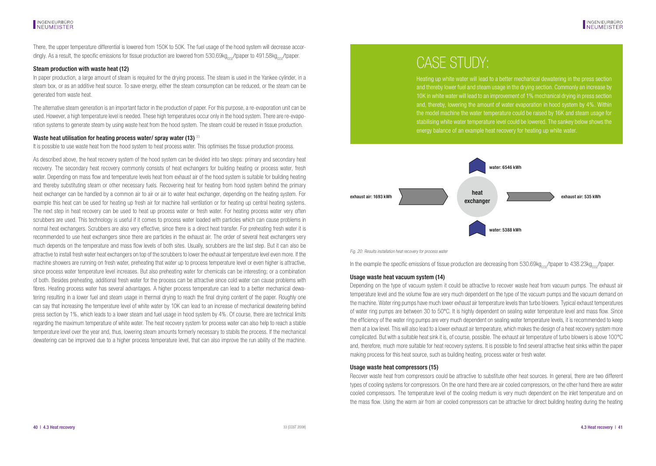There, the upper temperature differential is lowered from 150K to 50K. The fuel usage of the hood system will decrease accordingly. As a result, the specific emissions for tissue production are lowered from  $530.69$ kg<sub>co-</sub>/tpaper to 491.58kg<sub>co-</sub>/tpaper.

### Steam production with waste heat (12)

In paper production, a large amount of steam is required for the drying process. The steam is used in the Yankee cylinder, in a steam box, or as an additive heat source. To save energy, either the steam consumption can be reduced, or the steam can be generated from waste heat.

The alternative steam generation is an important factor in the production of paper. For this purpose, a re-evaporation unit can be used. However, a high temperature level is needed. These high temperatures occur only in the hood system. There are re-evaporation systems to generate steam by using waste heat from the hood system. The steam could be reused in tissue production.

#### Waste heat utilisation for heating process water/ spray water (13) 33

It is possible to use waste heat from the hood system to heat process water. This optimises the tissue production process.

As described above, the heat recovery system of the hood system can be divided into two steps: primary and secondary heat recovery. The secondary heat recovery commonly consists of heat exchangers for building heating or process water, fresh water. Depending on mass flow and temperature levels heat from exhaust air of the hood system is suitable for building heating and thereby substituting steam or other necessary fuels. Recovering heat for heating from hood system behind the primary heat exchanger can be handled by a common air to air or air to water heat exchanger, depending on the heating system. For example this heat can be used for heating up fresh air for machine hall ventilation or for heating up central heating systems. The next step in heat recovery can be used to heat up process water or fresh water. For heating process water very often scrubbers are used. This technology is useful if it comes to process water loaded with particles which can cause problems in normal heat exchangers. Scrubbers are also very effective, since there is a direct heat transfer. For preheating fresh water it is recommended to use heat exchangers since there are particles in the exhaust air. The order of several heat exchangers very much depends on the temperature and mass flow levels of both sites. Usually, scrubbers are the last step. But it can also be attractive to install fresh water heat exchangers on top of the scrubbers to lower the exhaust air temperature level even more. If the machine showers are running on fresh water, preheating that water up to process temperature level or even higher is attractive, since process water temperature level increases. But also preheating water for chemicals can be interesting; or a combination of both. Besides preheating, additional fresh water for the process can be attractive since cold water can cause problems with fibres. Heating process water has several advantages. A higher process temperature can lead to a better mechanical dewatering resulting in a lower fuel and steam usage in thermal drying to reach the final drying content of the paper. Roughly one can say that increasing the temperature level of white water by 10K can lead to an increase of mechanical dewatering behind press section by 1%, which leads to a lower steam and fuel usage in hood system by 4%. Of course, there are technical limits regarding the maximum temperature of white water. The heat recovery system for process water can also help to reach a stable temperature level over the year and, thus, lowering steam amounts formerly necessary to stabils the process. If the mechanical dewatering can be improved due to a higher process temperature level, that can also improve the run ability of the machine.

# CASE STUDY:

Heating up white water will lead to a better mechanical dewatering in the press section and thereby lower fuel and steam usage in the drying section. Commonly an increase by 10K in white water will lead to an improvement of 1% mechanical drying in press section and, thereby, lowering the amount of water evaporation in hood system by 4%. Within the model machine the water temperature could be raised by 16K and steam usage for stabilising white water temperature level could be lowered. The sankey below shows the energy balance of an example heat recovery for heating up white water.

![](_page_20_Figure_11.jpeg)

Fig. 20: Results installation heat recovery for process water

In the example the specific emissions of tissue production are decreasing from  $530.69$ kg<sub>co</sub>/tpaper to  $438.23$ kg<sub>co</sub>/tpaper.

### Usage waste heat vacuum system (14)

Depending on the type of vacuum system it could be attractive to recover waste heat from vacuum pumps. The exhaust air temperature level and the volume flow are very much dependent on the type of the vacuum pumps and the vacuum demand on the machine. Water ring pumps have much lower exhaust air temperature levels than turbo blowers. Typical exhaust temperatures of water ring pumps are between 30 to 50°C. It is highly dependent on sealing water temperature level and mass flow. Since the efficiency of the water ring pumps are very much dependent on sealing water temperature levels, it is recommended to keep them at a low level. This will also lead to a lower exhaust air temperature, which makes the design of a heat recovery system more complicated. But with a suitable heat sink it is, of course, possible. The exhaust air temperature of turbo blowers is above 100°C and, therefore, much more suitable for heat recovery systems. It is possible to find several attractive heat sinks within the paper making process for this heat source, such as building heating, process water or fresh water.

### Usage waste heat compressors (15)

Recover waste heat from compressors could be attractive to substitute other heat sources. In general, there are two different types of cooling systems for compressors. On the one hand there are air cooled compressors, on the other hand there are water cooled compressors. The temperature level of the cooling medium is very much dependent on the inlet temperature and on the mass flow. Using the warm air from air cooled compressors can be attractive for direct building heating during the heating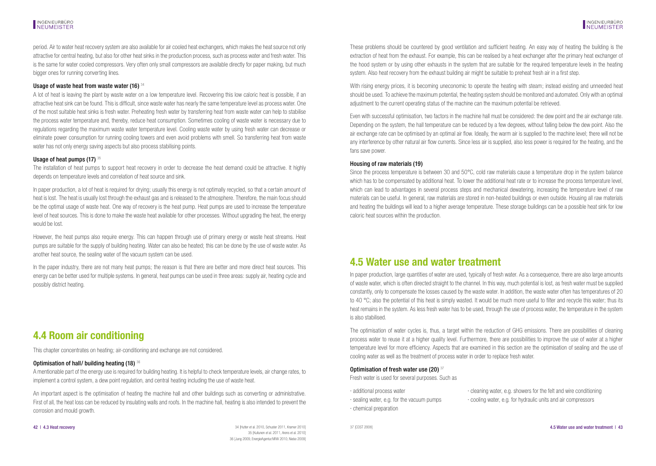<span id="page-21-0"></span>period. Air to water heat recovery system are also available for air cooled heat exchangers, which makes the heat source not only attractive for central heating, but also for other heat sinks in the production process, such as process water and fresh water. This is the same for water cooled compressors. Very often only small compressors are available directly for paper making, but much bigger ones for running converting lines.

### Usage of waste heat from waste water (16) <sup>34</sup>

A lot of heat is leaving the plant by waste water on a low temperature level. Recovering this low caloric heat is possible, if an attractive heat sink can be found. This is difficult, since waste water has nearly the same temperature level as process water. One of the most suitable heat sinks is fresh water. Preheating fresh water by transferring heat from waste water can help to stabilise the process water temperature and, thereby, reduce heat consumption. Sometimes cooling of waste water is necessary due to regulations regarding the maximum waste water temperature level. Cooling waste water by using fresh water can decrease or eliminate power consumption for running cooling towers and even avoid problems with smell. So transferring heat from waste water has not only energy saving aspects but also process stabilising points.

### Usage of heat numps  $(17)$   $35$

The installation of heat pumps to support heat recovery in order to decrease the heat demand could be attractive. It highly depends on temperature levels and correlation of heat source and sink.

In paper production, a lot of heat is required for drying; usually this energy is not optimally recycled, so that a certain amount of heat is lost. The heat is usually lost through the exhaust gas and is released to the atmosphere. Therefore, the main focus should be the optimal usage of waste heat. One way of recovery is the heat pump. Heat pumps are used to increase the temperature level of heat sources. This is done to make the waste heat available for other processes. Without upgrading the heat, the energy would be lost.

However, the heat pumps also require energy. This can happen through use of primary energy or waste heat streams. Heat pumps are suitable for the supply of building heating. Water can also be heated; this can be done by the use of waste water. As another heat source, the sealing water of the vacuum system can be used.

In the paper industry, there are not many heat pumps; the reason is that there are better and more direct heat sources. This energy can be better used for multiple systems. In general, heat pumps can be used in three areas: supply air, heating cycle and possibly district heating.

## **4.4 Room air conditioning**

This chapter concentrates on heating; air-conditioning and exchange are not considered.

### Optimisation of hall/ building heating (18) <sup>36</sup>

A mentionable part of the energy use is required for building heating. It is helpful to check temperature levels, air change rates, to implement a control system, a dew point regulation, and central heating including the use of waste heat.

An important aspect is the optimisation of heating the machine hall and other buildings such as converting or administrative. First of all, the heat loss can be reduced by insulating walls and roofs. In the machine hall, heating is also intended to prevent the corrosion and mould growth.

These problems should be countered by good ventilation and sufficient heating. An easy way of heating the building is the extraction of heat from the exhaust. For example, this can be realised by a heat exchanger after the primary heat exchanger of the hood system or by using other exhausts in the system that are suitable for the required temperature levels in the heating system. Also heat recovery from the exhaust building air might be suitable to preheat fresh air in a first step.

With rising energy prices, it is becoming uneconomic to operate the heating with steam; instead existing and unneeded heat should be used. To achieve the maximum potential, the heating system should be monitored and automated. Only with an optimal adjustment to the current operating status of the machine can the maximum potential be retrieved.

Even with successful optimisation, two factors in the machine hall must be considered: the dew point and the air exchange rate. Depending on the system, the hall temperature can be reduced by a few degrees, without falling below the dew point. Also the air exchange rate can be optimised by an optimal air flow. Ideally, the warm air is supplied to the machine level; there will not be any interference by other natural air flow currents. Since less air is supplied, also less power is required for the heating, and the fans save power.

### Housing of raw materials (19)

Since the process temperature is between 30 and 50°C, cold raw materials cause a temperature drop in the system balance which has to be compensated by additional heat. To lower the additional heat rate or to increase the process temperature level. which can lead to advantages in several process steps and mechanical dewatering, increasing the temperature level of raw materials can be useful. In general, raw materials are stored in non-heated buildings or even outside. Housing all raw materials and heating the buildings will lead to a higher average temperature. These storage buildings can be a possible heat sink for low caloric heat sources within the production.

### **4.5 Water use and water treatment**

In paper production, large quantities of water are used, typically of fresh water. As a consequence, there are also large amounts of waste water, which is often directed straight to the channel. In this way, much potential is lost, as fresh water must be supplied constantly, only to compensate the losses caused by the waste water. In addition, the waste water often has temperatures of 20 to 40 °C; also the potential of this heat is simply wasted. It would be much more useful to filter and recycle this water; thus its heat remains in the system. As less fresh water has to be used, through the use of process water, the temperature in the system is also stabilised.

The optimisation of water cycles is, thus, a target within the reduction of GHG emissions. There are possibilities of cleaning process water to reuse it at a higher quality level. Furthermore, there are possibilities to improve the use of water at a higher temperature level for more efficiency. Aspects that are examined in this section are the optimisation of sealing and the use of cooling water as well as the treatment of process water in order to replace fresh water.

#### Optimisation of fresh water use (20) 37

Fresh water is used for several purposes. Such as

· chemical preparation

· additional process water · cleaning water, e.g. showers for the felt and wire conditioning · sealing water, e.g. for the vacuum pumps · cooling water, e.g. for hydraulic units and air compressors

34 [Hutter et al. 2010, Schuster 2011, Kramer 2010] 35 [Kuitunen et al. 2011, Arens et al. 2010] 36 [Jung 2009, EnergieAgentur.NRW 2010, Niebe 2009] 42 | 4.3 Heat recovery exceeded that the and water treatment | 43 [Hutler et al. 2010, Schuster 2011, Kramer 2010] 37 [COST 2008] 45 Water use and water treatment | 43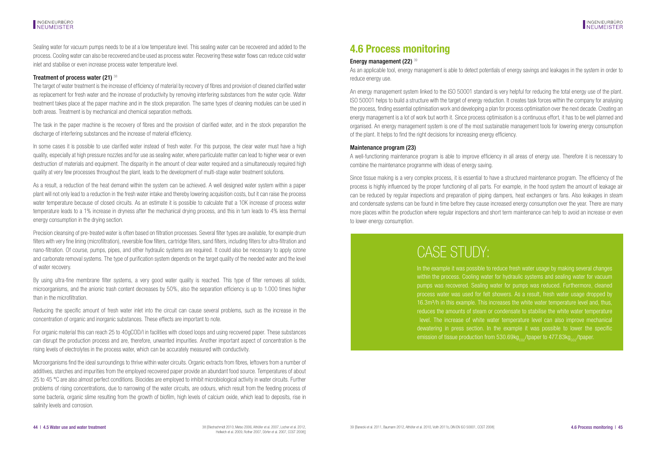<span id="page-22-0"></span>Sealing water for vacuum pumps needs to be at a low temperature level. This sealing water can be recovered and added to the process. Cooling water can also be recovered and be used as process water. Recovering these water flows can reduce cold water inlet and stabilise or even increase process water temperature level.

### Treatment of process water (21)  $38$

The target of water treatment is the increase of efficiency of material by recovery of fibres and provision of cleaned clarified water as replacement for fresh water and the increase of productivity by removing interfering substances from the water cycle. Water treatment takes place at the paper machine and in the stock preparation. The same types of cleaning modules can be used in both areas. Treatment is by mechanical and chemical separation methods.

The task in the paper machine is the recovery of fibres and the provision of clarified water, and in the stock preparation the discharge of interfering substances and the increase of material efficiency.

In some cases it is possible to use clarified water instead of fresh water. For this purpose, the clear water must have a high quality, especially at high pressure nozzles and for use as sealing water, where particulate matter can lead to higher wear or even destruction of materials and equipment. The disparity in the amount of clear water required and a simultaneously required high quality at very few processes throughout the plant, leads to the development of multi-stage water treatment solutions.

As a result, a reduction of the heat demand within the system can be achieved. A well designed water system within a paper plant will not only lead to a reduction in the fresh water intake and thereby lowering acquisition costs, but it can raise the process water temperature because of closed circuits. As an estimate it is possible to calculate that a 10K increase of process water temperature leads to a 1% increase in dryness after the mechanical drying process, and this in turn leads to 4% less thermal energy consumption in the drying section.

Precision cleansing of pre-treated water is often based on filtration processes. Several filter types are available, for example drum filters with very fine lining (microfiltration), reversible flow filters, cartridge filters, sand filters, including filters for ultra-filtration and nano-filtration. Of course, pumps, pipes, and other hydraulic systems are required. It could also be necessary to apply ozone and carbonate removal systems. The type of purification system depends on the target quality of the needed water and the level of water recovery.

By using ultra-fine membrane filter systems, a very good water quality is reached. This type of filter removes all solids, microorganisms, and the anionic trash content decreases by 50%, also the separation efficiency is up to 1.000 times higher than in the microfiltration.

Reducing the specific amount of fresh water inlet into the circuit can cause several problems, such as the increase in the concentration of organic and inorganic substances. These effects are important to note.

For organic material this can reach 25 to 40gCOD/l in facilities with closed loops and using recovered paper. These substances can disrupt the production process and are, therefore, unwanted impurities. Another important aspect of concentration is the rising levels of electrolytes in the process water, which can be accurately measured with conductivity.

Microorganisms find the ideal surroundings to thrive within water circuits. Organic extracts from fibres, leftovers from a number of additives, starches and impurities from the employed recovered paper provide an abundant food source. Temperatures of about 25 to 45 °C are also almost perfect conditions. Biocides are employed to inhibit microbiological activity in water circuits. Further problems of rising concentrations, due to narrowing of the water circuits, are odours, which result from the feeding process of some bacteria, organic slime resulting from the growth of biofilm, high levels of calcium oxide, which lead to deposits, rise in salinity levels and corrosion.

## **4.6 Process monitoring**

### Energy management (22) 39

As an applicable tool, energy management is able to detect potentials of energy savings and leakages in the system in order to reduce energy use.

An energy management system linked to the ISO 50001 standard is very helpful for reducing the total energy use of the plant. ISO 50001 helps to build a structure with the target of energy reduction. It creates task forces within the company for analysing the process, finding essential optimisation work and developing a plan for process optimisation over the next decade. Creating an energy management is a lot of work but worth it. Since process optimisation is a continuous effort, it has to be well planned and organised. An energy management system is one of the most sustainable management tools for lowering energy consumption of the plant. It helps to find the right decisions for increasing energy efficiency.

### Maintenance program (23)

A well-functioning maintenance program is able to improve efficiency in all areas of energy use. Therefore it is necessary to combine the maintenance programme with ideas of energy saving.

Since tissue making is a very complex process, it is essential to have a structured maintenance program. The efficiency of the process is highly influenced by the proper functioning of all parts. For example, in the hood system the amount of leakage air can be reduced by regular inspections and preparation of piping dampers, heat exchangers or fans. Also leakages in steam and condensate systems can be found in time before they cause increased energy consumption over the year. There are many more places within the production where regular inspections and short term maintenance can help to avoid an increase or even to lower energy consumption.

# CASE STUDY:

In the example it was possible to reduce fresh water usage by making several changes within the process. Cooling water for hydraulic systems and sealing water for vacuum pumps was recovered. Sealing water for pumps was reduced. Furthermore, cleaned process water was used for felt showers. As a result, fresh water usage dropped by 16.3m³/h in this example. This increases the white water temperature level and, thus, reduces the amounts of steam or condensate to stabilise the white water temperature level. The increase of white water temperature level can also improve mechanical dewatering in press section. In the example it was possible to lower the specific emission of tissue production from 530.69 $k_{Qzz}/t_{D}$  aper to 477.83kg<sub>an</sub>/tpaper.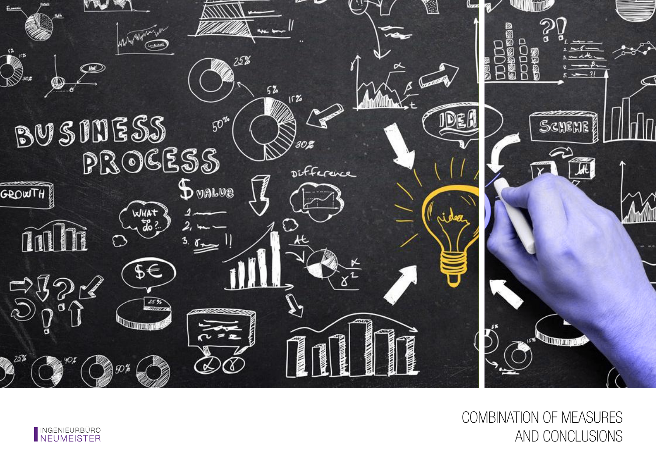![](_page_23_Picture_0.jpeg)

COMBINATION OF MEASURES AND CONCLUSIONS

![](_page_23_Picture_2.jpeg)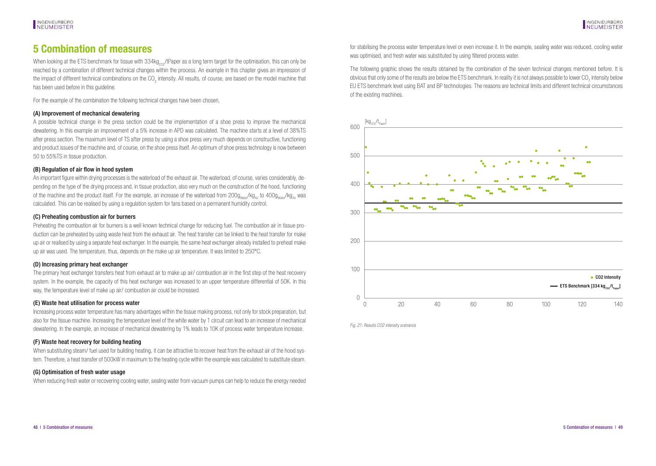### <span id="page-24-0"></span>**5 Combination of measures**

When looking at the ETS benchmark for tissue with  $334\text{kg}_{\text{cor}}$ /tPaper as a long term target for the optimisation, this can only be reached by a combination of different technical changes within the process. An example in this chapter gives an impression of the impact of different technical combinations on the CO<sub>2</sub> intensity. All results, of course, are based on the model machine that has been used before in this guideline.

For the example of the combination the following technical changes have been chosen,

### (A) Improvement of mechanical dewatering

A possible technical change in the press section could be the implementation of a shoe press to improve the mechanical dewatering. In this example an improvement of a 5% increase in APD was calculated. The machine starts at a level of 38%TS after press section. The maximum level of TS after press by using a shoe press very much depends on constructive, functioning and product issues of the machine and, of course, on the shoe press itself. An optimum of shoe press technology is now between 50 to 55%TS in tissue production.

### (B) Regulation of air flow in hood system

An important figure within drying processes is the waterload of the exhaust air. The waterload, of course, varies considerably, depending on the type of the drying process and, in tissue production, also very much on the construction of the hood, functioning of the machine and the product itself. For the example, an increase of the waterload from  $200g_{\text{water}}/kg_{\text{A}}$  to  $400g_{\text{water}}/kg_{\text{A}}$  was calculated. This can be realised by using a regulation system for fans based on a permanent humidity control.

### (C) Preheating combustion air for burners

Preheating the combustion air for burners is a well known technical change for reducing fuel. The combustion air in tissue production can be preheated by using waste heat from the exhaust air. The heat transfer can be linked to the heat transfer for make up air or realised by using a separate heat exchanger. In the example, the same heat exchanger already installed to preheat make up air was used. The temperature, thus, depends on the make up air temperature. It was limited to 250°C.

### (D) Increasing primary heat exchanger

The primary heat exchanger transfers heat from exhaust air to make up air/ combustion air in the first step of the heat recovery system. In the example, the capacity of this heat exchanger was increased to an upper temperature differential of 50K. In this way, the temperature level of make up air/ combustion air could be increased.

#### (E) Waste heat utilisation for process water

Increasing process water temperature has many advantages within the tissue making process, not only for stock preparation, but also for the tissue machine. Increasing the temperature level of the white water by 1 circuit can lead to an increase of mechanical dewatering. In the example, an increase of mechanical dewatering by 1% leads to 10K of process water temperature increase.

### (F) Waste heat recovery for building heating

When substituting steam/ fuel used for building heating, it can be attractive to recover heat from the exhaust air of the hood system. Therefore, a heat transfer of 500kW in maximum to the heating cycle within the example was calculated to substitute steam.

### (G) Optimisation of fresh water usage

When reducing fresh water or recovering cooling water, sealing water from vacuum pumps can help to reduce the energy needed

for stabilising the process water temperature level or even increase it. In the example, sealing water was reduced, cooling water was optimised, and fresh water was substituted by using filtered process water.

The following graphic shows the results obtained by the combination of the seven technical changes mentioned before. It is obvious that only some of the results are below the ETS benchmark. In reality it is not always possible to lower CO<sub>2</sub> intensity below EU ETS benchmark level using BAT and BP technologies. The reasons are technical limits and different technical circumstances of the existing machines.

![](_page_24_Figure_21.jpeg)

Fig. 21: Results CO2 intensity scenarios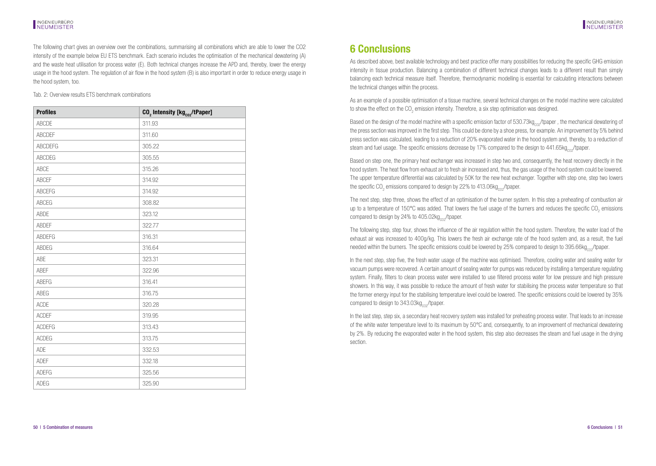#### <span id="page-25-0"></span>**INGENIEURBÜRO** NEUMEISTER

The following chart gives an overview over the combinations, summarising all combinations which are able to lower the CO2 intensity of the example below EU ETS benchmark. Each scenario includes the optimisation of the mechanical dewatering (A) and the waste heat utilisation for process water (E). Both technical changes increase the APD and, thereby, lower the energy usage in the hood system. The regulation of air flow in the hood system (B) is also important in order to reduce energy usage in the hood system, too.

Tab. 2: Overview results ETS benchmark combinations

| <b>Profiles</b> | CO <sub>2</sub> Intensity [kg <sub>co2</sub> /tPaper] |
|-----------------|-------------------------------------------------------|
| ABCDE           | 311.93                                                |
| <b>ABCDEF</b>   | 311.60                                                |
| <b>ABCDEFG</b>  | 305.22                                                |
| <b>ABCDEG</b>   | 305.55                                                |
| <b>ABCE</b>     | 315.26                                                |
| ABCEF           | 314.92                                                |
| <b>ABCEFG</b>   | 314.92                                                |
| <b>ABCEG</b>    | 308.82                                                |
| <b>ABDE</b>     | 323.12                                                |
| <b>ABDEF</b>    | 322.77                                                |
| <b>ABDEFG</b>   | 316.31                                                |
| <b>ABDEG</b>    | 316.64                                                |
| ABE             | 323.31                                                |
| <b>ABEF</b>     | 322.96                                                |
| <b>ABEFG</b>    | 316.41                                                |
| ABEG            | 316.75                                                |
| <b>ACDE</b>     | 320.28                                                |
| <b>ACDEF</b>    | 319.95                                                |
| <b>ACDEFG</b>   | 313.43                                                |
| <b>ACDEG</b>    | 313.75                                                |
| ADE             | 332.53                                                |
| <b>ADEF</b>     | 332.18                                                |
| <b>ADEFG</b>    | 325.56                                                |
| <b>ADEG</b>     | 325.90                                                |

## **6 Conclusions**

As described above, best available technology and best practice offer many possibilities for reducing the specific GHG emission intensity in tissue production. Balancing a combination of different technical changes leads to a different result than simply balancing each technical measure itself. Therefore, thermodynamic modelling is essential for calculating interactions between the technical changes within the process.

As an example of a possible optimisation of a tissue machine, several technical changes on the model machine were calculated to show the effect on the CO<sub>2</sub> emission intensity. Therefore, a six step optimisation was designed.

Based on the design of the model machine with a specific emission factor of  $530.73kg<sub>cor</sub>/tpaper$ , the mechanical dewatering of the press section was improved in the first step. This could be done by a shoe press, for example. An improvement by 5% behind press section was calculated, leading to a reduction of 20% evaporated water in the hood system and, thereby, to a reduction of steam and fuel usage. The specific emissions decrease by 17% compared to the design to 441.65kg<sub>co2</sub>/tpaper.

Based on step one, the primary heat exchanger was increased in step two and, consequently, the heat recovery directly in the hood system. The heat flow from exhaust air to fresh air increased and, thus, the gas usage of the hood system could be lowered. The upper temperature differential was calculated by 50K for the new heat exchanger. Together with step one, step two lowers the specific CO<sub>2</sub> emissions compared to design by 22% to 413.06kg<sub>co2</sub>/tpaper.

The next step, step three, shows the effect of an optimisation of the burner system. In this step a preheating of combustion air up to a temperature of 150°C was added. That lowers the fuel usage of the burners and reduces the specific CO<sub>2</sub> emissions compared to design by  $24\%$  to  $405.02kg<sub>cor</sub>/tpaper.$ 

The following step, step four, shows the influence of the air regulation within the hood system. Therefore, the water load of the exhaust air was increased to 400g/kg. This lowers the fresh air exchange rate of the hood system and, as a result, the fuel needed within the burners. The specific emissions could be lowered by 25% compared to design to 395.66kg<sub>co</sub>/tpaper.

In the next step, step five, the fresh water usage of the machine was optimised. Therefore, cooling water and sealing water for vacuum pumps were recovered. A certain amount of sealing water for pumps was reduced by installing a temperature regulating system. Finally, filters to clean process water were installed to use filtered process water for low pressure and high pressure showers. In this way, it was possible to reduce the amount of fresh water for stabilising the process water temperature so that the former energy input for the stabilising temperature level could be lowered. The specific emissions could be lowered by 35% compared to design to  $343.03kg<sub>cor</sub>/tpaper.$ 

In the last step, step six, a secondary heat recovery system was installed for preheating process water. That leads to an increase of the white water temperature level to its maximum by 50°C and, consequently, to an improvement of mechanical dewatering by 2%. By reducing the evaporated water in the hood system, this step also decreases the steam and fuel usage in the drying section.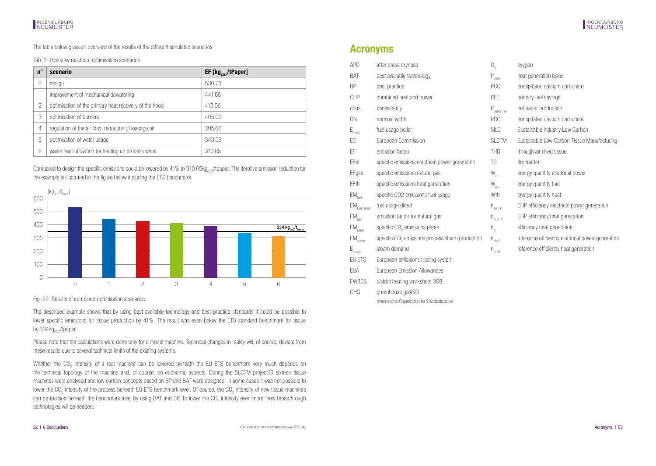<span id="page-26-0"></span>The table below gives an overview of the results of the different simulated scenarios.

Tab. 3: Overview results of optimisation scenarios

| $n^{\circ}$ | scenario                                              | $EF$ [kg $_{\text{co2}}$ /tPaper] |
|-------------|-------------------------------------------------------|-----------------------------------|
|             | design                                                | 530.73                            |
|             | improvement of mechanical dewatering                  | 441.65                            |
| 2           | optimisation of the primary heat recovery of the hood | 413.06                            |
| 3           | optimisation of burners                               | 405.02                            |
| 4           | regulation of the air flow; reduction of leakage air  | 395.66                            |
| 5           | optimisation of water usage                           | 343.03                            |
| 6           | waste heat utilisation for heating up process water   | 310.65                            |

Compared to design the specific emissions could be lowered by 41% to 310.65kg<sub>co2</sub>/tpaper. The iterative emission reduction for the example is illustrated in the figure below including the ETS benchmark.

![](_page_26_Figure_6.jpeg)

Fig. 22: Results of combined optimisation scenarios

The described example shows that by using best available technology and best practice standards it could be possible to lower specific emissions for tissue production by 41%. The result was even below the ETS standard benchmark for tissue by 334kg<sub>co2</sub>/tpaper.

Please note that the calculations were done only for a model machine. Technical changes in reality will, of course, deviate from these results due to several technical limits of the existing systems.

Whether the CO<sub>2</sub> intensity of a real machine can be lowered beneath the EU ETS benchmark very much depends on the technical topology of the machine and, of course, on economic aspects. During the SLCTM project19 sixteen tissue machines were analysed and low carbon concepts based on BP and BAT were designed. In some cases it was not possible to lower the CO<sub>2</sub> intensity of the process beneath EU ETS benchmark level. Of course, the CO<sub>2</sub> intensity of new tissue machines can be realised beneath the benchmark level by using BAT and BP. To lower the CO<sub>2</sub> intensity even more, new breakthrough technologies will be needed.

### **Acronyms**

FW308 district heating worksheet 308 GHG greenhouse gasISO

(International Organization for Standardization)

| APD                            | after press dryness                                         | 0,                                  | oxygen                                           |
|--------------------------------|-------------------------------------------------------------|-------------------------------------|--------------------------------------------------|
| BAT                            | best available technology                                   | $\mathsf{P}_{\text{boller}}$        | heat generation boiler                           |
| <b>BP</b>                      | best practice                                               | PCC                                 | precipitated calcium carbonate                   |
| <b>CHP</b>                     | combined heat and power                                     | PEE                                 | primary fuel savings                             |
| cons.                          | consistency                                                 | $P_{\text{paper, net}}$             | net paper production                             |
| DN                             | nominal width                                               | PCC                                 | precipitated calcium carbonate                   |
| $E_{\text{boiler}}$            | fuel usage boiler                                           | <b>SILC</b>                         | Sustainable Industry Low Carbon                  |
| EC                             | European Commission                                         | <b>SLCTM</b>                        | Sustainable Low Carbon Tissue Manufacturing      |
| EF                             | emission factor                                             | <b>THD</b>                          | through air dried tissue                         |
| EFel                           | specific emissions electrical power generation              | TS                                  | dry matter                                       |
| EFgas                          | specific emissions natural gas                              | $W_{el}$                            | energy quantity electrical power                 |
| EFth                           | specific emissions heat generation                          | $\mathsf{W}_{\mathsf{gas}}$         | energy quantity fuel                             |
| $\mathsf{EM}_{\mathsf{fuel}}$  | specific CO2 emissions fuel usage                           | Wth                                 | energy quantity heat                             |
| EM <sub>fuel, direct</sub>     | fuel usage direct                                           | $n_{\text{el.CHP}}$                 | CHP efficiency electrical power generation       |
| $EM_{gas}$                     | emission factor for natural gas                             | $n_{th.CHP}$                        | CHP efficiency heat generation                   |
| $\mathsf{EM}_{\mathsf{paper}}$ | specific CO <sub>2</sub> emissions paper                    | $n_{\rm th}$                        | efficiency heat generation                       |
| $\mathsf{EM}_{\mathsf{steam}}$ | specific CO <sub>2</sub> emissions process steam production | $\mathsf{n}_{\text{\tiny{el,ref}}}$ | reference efficiency electrical power generation |
| $\mathsf{E}_{\mathsf{seam}}$   | steam demand                                                | $n_{\text{th,ref}}$                 | reference efficiency heat generation             |
| EU ETS                         | European emissions trading system                           |                                     |                                                  |
| <b>EUA</b>                     | European Emission Allowances                                |                                     |                                                  |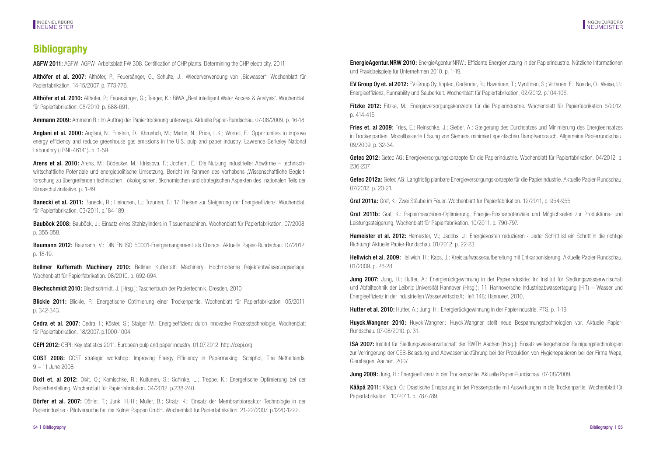## <span id="page-27-0"></span>**Bibliography**

AGFW 2011: AGFW: AGFW- Arbeitsblatt FW 308. Certification of CHP plants. Determining the CHP electricity. 2011

Althöfer et al. 2007: Althöfer, P.; Feuersänger, G., Schulte, J.: Wiederverwendung von "Biowasser". Wochenblatt für Papierfabrikation. 14-15/2007. p. 773-776.

Althöfer et al. 2010: Althöfer, P.; Feuersänger, G.; Taeger, K.; BiWA "Best intelligent Water Access & Analysis". Wochenblatt für Papierfabrikation. 08/2010. p. 688-691.

Ammann 2009: Ammann R.: Im Auftrag der Papiertrocknung unterwegs. Aktuelle Papier-Rundschau. 07-08/2009. p. 16-18.

Anglani et al. 2000: Anglani, N.; Einstein, D.; Khrushch, M.; Martin, N.; Price, L.K.; Worrell, E.; Opportunities to improve energy efficiency and reduce greenhouse gas emissions in the U.S. pulp and paper industry. Lawrence Berkeley National Laboratory (LBNL-46141). p. 1-59.

Arens et al. 2010: Arens, M.; Bödecker, M.; Idrissova, F.; Jochem, E.: Die Nutzung industrieller Abwärme – technischwirtschaftliche Potenziale und energiepolitische Umsetzung. Bericht im Rahmen des Vorhabens "Wissenschaftliche Begleitforschung zu übergreifenden technischen, ökologischen, ökonomischen und strategischen Aspekten des nationalen Teils der Klimaschutzinitiative. p. 1-49.

Banecki et al. 2011: Banecki, R.; Heinonen, L.; Turunen, T.; 17 Thesen zur Steigerung der Energieeffizienz. Wochenblatt für Papierfabrikation. 03/2011. p.184-189.

Bauböck 2008: Bauböck, J.: Finsatz eines Stahlzvlinders in Tissuemaschinen. Wochenblatt für Papierfabrikation. 07/2008. p. 355-358.

Baumann 2012: Baumann, V.: DIN EN ISO 50001-Energiemangement als Chance. Aktuelle Papier-Bundschau. 07/2012. p. 18-19.

Bellmer Kufferrath Machinery 2010: Bellmer Kufferrath Machinery: Hochmoderne Rejektentwässerungsanlage. Wochenblatt für Papierfabrikation. 08/2010. p. 692-694.

Blechschmidt 2010: Blechschmidt, J. [Hrsg.]: Taschenbuch der Papiertechnik. Dresden, 2010

Blickle 2011: Blickle, P.: Energetische Optimierung einer Trockenpartie. Wochenblatt für Papierfabrikation. 05/2011. p. 342-343.

Cedra et al. 2007: Cedra, I.: Köster, S.; Staiger M.: Energieeffizienz durch innovative Prozesstechnologie. Wochenblatt für Papierfabrikation. 18/2007. p.1000-1004.

CEPI 2012: CEPI: Key statistics 2011. European pulp and paper industry. 01.07.2012. http://cepi.org

COST 2008: COST strategic workshop: Improving Energy Efficiency in Papermaking. Schiphol, The Netherlands. 9 – 11 June 2008.

Dixit et. al 2012: Dixit, O.; Kamischke, R.; Kuitunen, S.; Schinke, L.; Treppe, K.; Energetische Optimierung bei der Papierherstellung. Wochenblatt für Papierfabrikation. 04/2012. p.238-240.

Dörfer et al. 2007: Dörfer, T.; Junk, H.-H.; Müller, B.; Strätz, K.: Einsatz der Membranbioreaktor Technologie in der Papierindustrie - Pilotversuche bei der Kölner Pappen GmbH. Wochenblatt für Papierfabrikation. 21-22/2007. p.1220-1222.

**EnergieAgentur.NRW 2010:** EnergieAgentur.NRW.: Effiziente Energienutzung in der Papierindustrie. Nützliche Informationen und Praxisbeispiele für Unternehmen 2010. p. 1-19.

EV Group Oy et. al 2012: EV Group Oy, fipptec, Gerlander, R.; Haverinen, T.; Mynttinen, S.; Virtanen, E.; Novide, O.; Weise, U.: Energieeffizienz, Runnability und Sauberkeit. Wochenblatt für Papierfabrikation. 02/2012. p.104-106.

Fitzke 2012: Fitzke, M.: Energieversorgungskonzepte für die Papierindustrie. Wochenblatt für Papierfabrikation 6/2012. p. 414-415.

Fries et. al 2009: Fries, E.; Reinschke, J.; Sieber, A.; Steigerung des Durchsatzes und Minimierung des Energieeinsatzes in Trockenpartien. Modellbasierte Lösung von Siemens minimiert spezifischen Dampfverbrauch. Allgemeine Papierrundschau. 09/2009. p. 32-34.

Getec 2012: Getec AG: Energieversorgungskonzepte für die Papierindustrie. Wochenblatt für Papierfabrikation. 04/2012. p. 236-237.

Getec 2012a: Getec AG: Langfristig planbare Energieversorgungskonzepte für die Papierindustrie. Aktuelle Papier-Rundschau. 07/2012. p. 20-21.

Graf 2011a: Graf, K.: Zwei Stäube im Feuer. Wochenblatt für Papierfabrikation. 12/2011, p. 954-955.

Graf 2011b: Graf, K.: Papiermaschinen-Optimierung, Energie-Einsparpotenziale und Möglichkeiten zur Produktions- und Leistungssteigerung. Wochenblatt für Papierfabrikation. 10/2011. p. 790-797.

Hameister et al. 2012: Hameister, M.; Jacobs, J.: Energiekosten reduzieren - Jeder Schritt ist ein Schritt in die richtige Richtung! Aktuelle Papier-Rundschau. 01/2012. p. 22-23.

Hellwich et al. 2009: Hellwich, H.; Kaps, J.; Kreislaufwasseraufbereitung mit Entkarbonisierung. Aktuelle Papier-Rundschau. 01/2009. p. 26-28.

Jung 2007: Jung, H.; Hutter, A.: Energierückgewinnung in der Papierindustrie; In: Institut für Siedlungswasserwirtschaft und Abfalltechnik der Leibniz Universität Hannover (Hrsg.); 11. Hannoversche Industrieabwassertagung (HIT) – Wasser und Energieeffizienz in der industriellen Wasserwirtschaft; Heft 148; Hannover, 2010,

Hutter et al. 2010: Hutter, A.; Jung, H.: Energierückgewinnung in der Papierindustrie. PTS. p. 1-19.

Huyck.Wangner 2010: Huyck.Wangner.: Huyck.Wangner stellt neue Bespannungstechnologien vor. Aktuelle Papier-Rundschau. 07-08/2010. p. 31.

ISA 2007: Institut für Siedlungswasserwirtschaft der RWTH Aachen [Hrsg.]: Einsatz weitergehender Reinigungstechnologien zur Verringerung der CSB-Belastung und Abwasserrückführung bei der Produktion von Hygienepapieren bei der Firma Wepa, Giershagen. Aachen, 2007

Jung 2009: Jung, H.: Energieeffizienz in der Trockenpartie. Aktuelle Papier-Rundschau. 07-08/2009.

Kääpä 2011: Kääpä, O.: Drastische Einsparung in der Pressenpartie mit Auswirkungen in die Trockenpartie. Wochenblatt für Papierfabrikation. 10/2011. p. 787-789.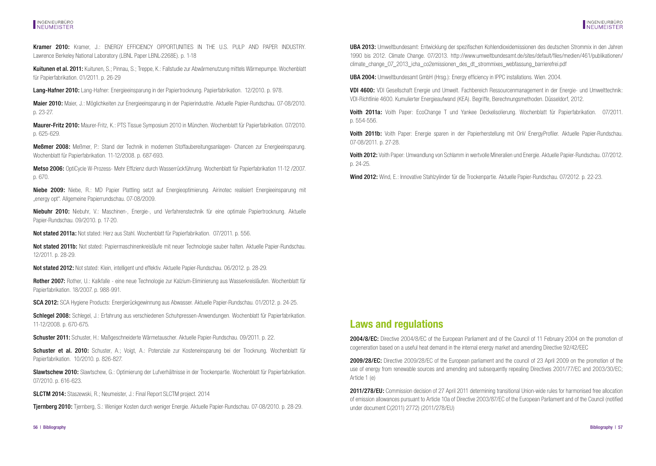## <span id="page-28-0"></span>INGENIEURBÜRO<br>INFUMFISTER

Kramer 2010: Kramer, J.: ENERGY EFFICIENCY OPPORTUNITIES IN THE U.S. PULP AND PAPER INDUSTRY. Lawrence Berkeley National Laboratory (LBNL Paper LBNL-2268E). p. 1-18

Kuitunen et al. 2011: Kuitunen, S.; Pinnau, S.; Treppe, K.: Fallstudie zur Abwärmenutzung mittels Wärmepumpe. Wochenblatt für Papierfabrikation. 01/2011. p. 26-29

Lang-Hafner 2010: Lang-Hafner: Energieeinsparung in der Papiertrocknung. Papierfabrikation. 12/2010. p. 978.

Maier 2010: Maier, J.: Möglichkeiten zur Energieeinsparung in der Papierindustrie. Aktuelle Papier-Rundschau. 07-08/2010. p. 23-27.

Maurer-Fritz 2010: Maurer-Fritz, K.: PTS Tissue Symposium 2010 in München. Wochenblatt für Papierfabrikation. 07/2010. p. 625-629.

Meßmer 2008: Meßmer, P.: Stand der Technik in modernen Stoffaubereitungsanlagen- Chancen zur Energieeinsparung. Wochenblatt für Papierfabrikation. 11-12/2008. p. 687-693.

Metso 2006: OptiCycle W-Prozess- Mehr Effizienz durch Wasserrückführung. Wochenblatt für Papierfabrikation 11-12 /2007. p. 670.

Niebe 2009: Niebe, R.: MD Papier Plattling setzt auf Energieoptimierung. Airinotec realisiert Energieeinsparung mit "energy opt". Allgemeine Papierrundschau. 07-08/2009.

Niebuhr 2010: Niebuhr, V.: Maschinen-, Energie-, und Verfahrenstechnik für eine optimale Papiertrocknung. Aktuelle Papier-Rundschau. 09/2010. p. 17-20.

Not stated 2011a: Not stated: Herz aus Stahl. Wochenblatt für Papierfabrikation. 07/2011. p. 556.

Not stated 2011b: Not stated: Papiermaschinenkreisläufe mit neuer Technologie sauber halten. Aktuelle Papier-Rundschau. 12/2011. p. 28-29.

Not stated 2012: Not stated: Klein, intelligent und effektiv. Aktuelle Papier-Rundschau. 06/2012. p. 28-29.

Rother 2007: Rother, U.: Kalkfalle - eine neue Technologie zur Kalzium-Eliminierung aus Wasserkreisläufen. Wochenblatt für Papierfabrikation. 18/2007. p. 988-991.

SCA 2012: SCA Hygiene Products: Energierückgewinnung aus Abwasser. Aktuelle Papier-Rundschau. 01/2012. p. 24-25.

Schlegel 2008: Schlegel, J.: Erfahrung aus verschiedenen Schuhpressen-Anwendungen. Wochenblatt für Papierfabrikation. 11-12/2008. p. 670-675.

Schuster 2011: Schuster, H.: Maßgeschneiderte Wärmetauscher. Aktuelle Papier-Rundschau. 09/2011. p. 22.

Schuster et al. 2010: Schuster, A.; Voigt, A.: Potenziale zur Kosteneinsparung bei der Trocknung. Wochenblatt für Papierfabrikation. 10/2010. p. 826-827.

Slawtschew 2010: Slawtschew, G.: Optimierung der Lufverhältnisse in der Trockenpartie. Wochenblatt für Papierfabrikation. 07/2010. p. 616-623.

SLCTM 2014: Staszewski, R.; Neumeister, J.: Final Report SLCTM project. 2014

Tjernberg 2010: Tjernberg, S.: Weniger Kosten durch weniger Energie. Aktuelle Papier-Rundschau. 07-08/2010. p. 28-29.

UBA 2013: Umweltbundesamt: Entwicklung der spezifischen Kohlendioxidemissionen des deutschen Strommix in den Jahren 1990 bis 2012. Climate Change. 07/2013. http://www.umweltbundesamt.de/sites/default/files/medien/461/publikationen/ climate\_change\_07\_2013\_icha\_co2emissionen\_des\_dt\_strommixes\_webfassung\_barrierefrei.pdf

UBA 2004: Umweltbundesamt GmbH (Hrsg.): Energy efficiency in IPPC installations. Wien. 2004.

VDI 4600: VDI Gesellschaft Energie und Umwelt. Fachbereich Ressourcenmanagement in der Energie- und Umwelttechnik: VDI-Richtlinie 4600. Kumulierter Energieaufwand (KEA). Begriffe, Berechnungsmethoden. Düsseldorf, 2012.

Voith 2011a: Voith Paper: EcoChange T und Yankee Deckelisolierung. Wochenblatt für Papierfabrikation. 07/2011. p. 554-556.

Voith 2011b: Voith Paper: Energie sparen in der Papierherstellung mit OnV EnergyProfiler. Aktuelle Papier-Rundschau. 07-08/2011. p. 27-28.

Voith 2012: Voith Paper: Umwandlung von Schlamm in wertvolle Mineralien und Energie. Aktuelle Papier-Rundschau. 07/2012. p. 24-25.

Wind 2012: Wind, E.: Innovative Stahlzylinder für die Trockenpartie. Aktuelle Papier-Rundschau. 07/2012. p. 22-23.

### **Laws and regulations**

2004/8/EC: Directive 2004/8/EC of the European Parliament and of the Council of 11 February 2004 on the promotion of cogeneration based on a useful heat demand in the internal energy market and amending Directive 92/42/EEC

2009/28/EC: Directive 2009/28/EC of the European parliament and the council of 23 April 2009 on the promotion of the use of energy from renewable sources and amending and subsequently repealing Directives 2001/77/EC and 2003/30/EC; Article 1 (e)

2011/278/EU: Commission decision of 27 April 2011 determining transitional Union-wide rules for harmonised free allocation of emission allowances pursuant to Article 10a of Directive 2003/87/EC of the European Parliament and of the Council (notified under document C(2011) 2772) (2011/278/EU)